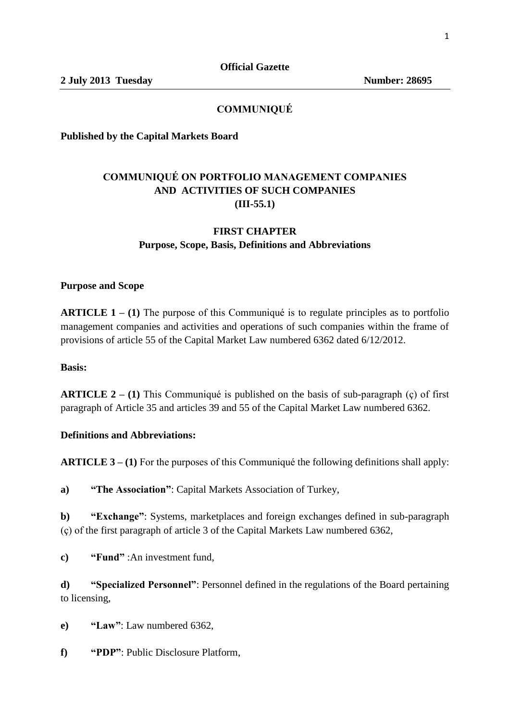## **COMMUNIQUÉ**

**Published by the Capital Markets Board** 

# **COMMUNIQUÉ ON PORTFOLIO MANAGEMENT COMPANIES AND ACTIVITIES OF SUCH COMPANIES (III-55.1)**

## **FIRST CHAPTER Purpose, Scope, Basis, Definitions and Abbreviations**

#### **Purpose and Scope**

**ARTICLE 1 – (1)** The purpose of this Communiqué is to regulate principles as to portfolio management companies and activities and operations of such companies within the frame of provisions of article 55 of the Capital Market Law numbered 6362 dated 6/12/2012.

#### **Basis:**

**ARTICLE 2 – (1)** This Communiqué is published on the basis of sub-paragraph (ç) of first paragraph of Article 35 and articles 39 and 55 of the Capital Market Law numbered 6362.

#### **Definitions and Abbreviations:**

**ARTICLE 3 – (1)** For the purposes of this Communiqué the following definitions shall apply:

**a) "The Association"**: Capital Markets Association of Turkey,

**b) "Exchange"**: Systems, marketplaces and foreign exchanges defined in sub-paragraph (ç) of the first paragraph of article 3 of the Capital Markets Law numbered 6362,

**c) "Fund"** :An investment fund,

**d) "Specialized Personnel"**: Personnel defined in the regulations of the Board pertaining to licensing,

**e) "Law"**: Law numbered 6362,

**f) "PDP"**: Public Disclosure Platform,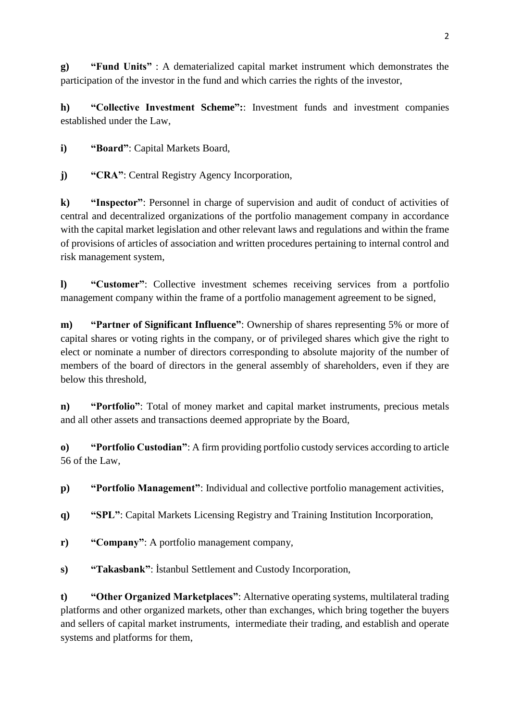**g) "Fund Units"** : A dematerialized capital market instrument which demonstrates the participation of the investor in the fund and which carries the rights of the investor,

**h) "Collective Investment Scheme":**: Investment funds and investment companies established under the Law,

**i) "Board"**: Capital Markets Board,

**j) "CRA"**: Central Registry Agency Incorporation,

**k) "Inspector"**: Personnel in charge of supervision and audit of conduct of activities of central and decentralized organizations of the portfolio management company in accordance with the capital market legislation and other relevant laws and regulations and within the frame of provisions of articles of association and written procedures pertaining to internal control and risk management system,

**l) "Customer"**: Collective investment schemes receiving services from a portfolio management company within the frame of a portfolio management agreement to be signed,

**m) "Partner of Significant Influence"**: Ownership of shares representing 5% or more of capital shares or voting rights in the company, or of privileged shares which give the right to elect or nominate a number of directors corresponding to absolute majority of the number of members of the board of directors in the general assembly of shareholders, even if they are below this threshold,

**n) "Portfolio"**: Total of money market and capital market instruments, precious metals and all other assets and transactions deemed appropriate by the Board,

**o) "Portfolio Custodian"**: A firm providing portfolio custody services according to article 56 of the Law,

**p) "Portfolio Management"**: Individual and collective portfolio management activities,

**q) "SPL"**: Capital Markets Licensing Registry and Training Institution Incorporation,

- **r) "Company"**: A portfolio management company,
- **s) "Takasbank"**: İstanbul Settlement and Custody Incorporation,

**t) "Other Organized Marketplaces"**: Alternative operating systems, multilateral trading platforms and other organized markets, other than exchanges, which bring together the buyers and sellers of capital market instruments, intermediate their trading, and establish and operate systems and platforms for them,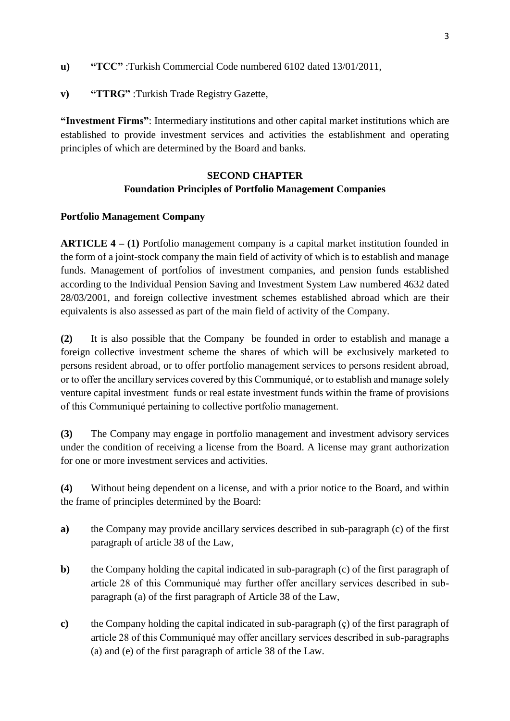- **u) "TCC"** :Turkish Commercial Code numbered 6102 dated 13/01/2011,
- **v) "TTRG"** :Turkish Trade Registry Gazette,

**"Investment Firms"**: Intermediary institutions and other capital market institutions which are established to provide investment services and activities the establishment and operating principles of which are determined by the Board and banks.

# **SECOND CHAPTER Foundation Principles of Portfolio Management Companies**

#### **Portfolio Management Company**

**ARTICLE 4 – (1)** Portfolio management company is a capital market institution founded in the form of a joint-stock company the main field of activity of which is to establish and manage funds. Management of portfolios of investment companies, and pension funds established according to the Individual Pension Saving and Investment System Law numbered 4632 dated 28/03/2001, and foreign collective investment schemes established abroad which are their equivalents is also assessed as part of the main field of activity of the Company.

**(2)** It is also possible that the Company be founded in order to establish and manage a foreign collective investment scheme the shares of which will be exclusively marketed to persons resident abroad, or to offer portfolio management services to persons resident abroad, or to offer the ancillary services covered by this Communiqué, or to establish and manage solely venture capital investment funds or real estate investment funds within the frame of provisions of this Communiqué pertaining to collective portfolio management.

**(3)** The Company may engage in portfolio management and investment advisory services under the condition of receiving a license from the Board. A license may grant authorization for one or more investment services and activities.

**(4)** Without being dependent on a license, and with a prior notice to the Board, and within the frame of principles determined by the Board:

- **a)** the Company may provide ancillary services described in sub-paragraph (c) of the first paragraph of article 38 of the Law,
- **b)** the Company holding the capital indicated in sub-paragraph (c) of the first paragraph of article 28 of this Communiqué may further offer ancillary services described in subparagraph (a) of the first paragraph of Article 38 of the Law,
- **c)** the Company holding the capital indicated in sub-paragraph (ç) of the first paragraph of article 28 of this Communiqué may offer ancillary services described in sub-paragraphs (a) and (e) of the first paragraph of article 38 of the Law.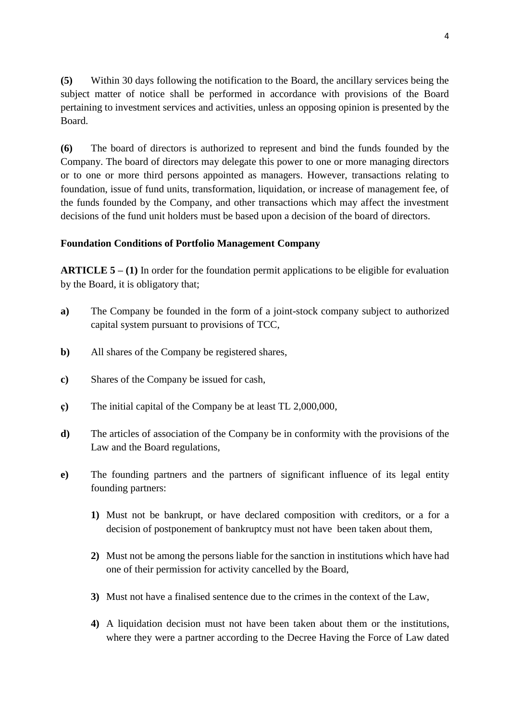**(5)** Within 30 days following the notification to the Board, the ancillary services being the subject matter of notice shall be performed in accordance with provisions of the Board pertaining to investment services and activities, unless an opposing opinion is presented by the Board.

**(6)** The board of directors is authorized to represent and bind the funds founded by the Company. The board of directors may delegate this power to one or more managing directors or to one or more third persons appointed as managers. However, transactions relating to foundation, issue of fund units, transformation, liquidation, or increase of management fee, of the funds founded by the Company, and other transactions which may affect the investment decisions of the fund unit holders must be based upon a decision of the board of directors.

#### **Foundation Conditions of Portfolio Management Company**

**ARTICLE 5 – (1)** In order for the foundation permit applications to be eligible for evaluation by the Board, it is obligatory that;

- **a)** The Company be founded in the form of a joint-stock company subject to authorized capital system pursuant to provisions of TCC,
- **b)** All shares of the Company be registered shares,
- **c)** Shares of the Company be issued for cash,
- **ç)** The initial capital of the Company be at least TL 2,000,000,
- **d)** The articles of association of the Company be in conformity with the provisions of the Law and the Board regulations,
- **e)** The founding partners and the partners of significant influence of its legal entity founding partners:
	- **1)** Must not be bankrupt, or have declared composition with creditors, or a for a decision of postponement of bankruptcy must not have been taken about them,
	- **2)** Must not be among the persons liable for the sanction in institutions which have had one of their permission for activity cancelled by the Board,
	- **3)** Must not have a finalised sentence due to the crimes in the context of the Law,
	- **4)** A liquidation decision must not have been taken about them or the institutions, where they were a partner according to the Decree Having the Force of Law dated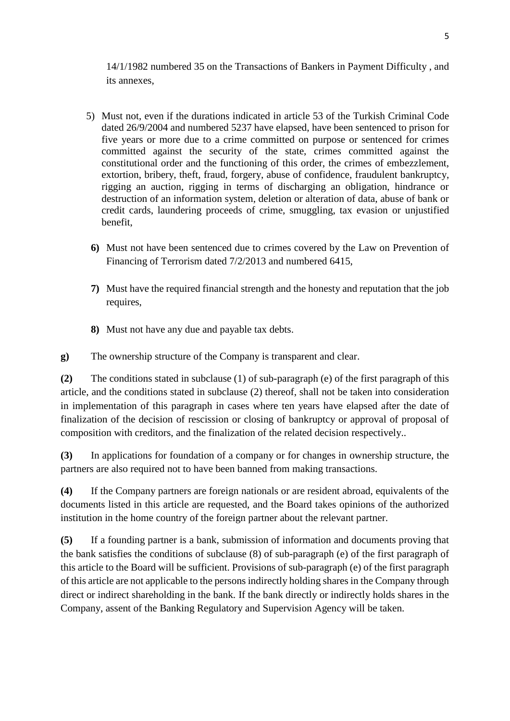14/1/1982 numbered 35 on the Transactions of Bankers in Payment Difficulty , and its annexes,

- 5) Must not, even if the durations indicated in article 53 of the Turkish Criminal Code dated 26/9/2004 and numbered 5237 have elapsed, have been sentenced to prison for five years or more due to a crime committed on purpose or sentenced for crimes committed against the security of the state, crimes committed against the constitutional order and the functioning of this order, the crimes of embezzlement, extortion, bribery, theft, fraud, forgery, abuse of confidence, fraudulent bankruptcy, rigging an auction, rigging in terms of discharging an obligation, hindrance or destruction of an information system, deletion or alteration of data, abuse of bank or credit cards, laundering proceeds of crime, smuggling, tax evasion or unjustified benefit,
- **6)** Must not have been sentenced due to crimes covered by the Law on Prevention of Financing of Terrorism dated 7/2/2013 and numbered 6415,
- **7)** Must have the required financial strength and the honesty and reputation that the job requires,
- **8)** Must not have any due and payable tax debts.
- **g)** The ownership structure of the Company is transparent and clear.

**(2)** The conditions stated in subclause (1) of sub-paragraph (e) of the first paragraph of this article, and the conditions stated in subclause (2) thereof, shall not be taken into consideration in implementation of this paragraph in cases where ten years have elapsed after the date of finalization of the decision of rescission or closing of bankruptcy or approval of proposal of composition with creditors, and the finalization of the related decision respectively..

**(3)** In applications for foundation of a company or for changes in ownership structure, the partners are also required not to have been banned from making transactions.

**(4)** If the Company partners are foreign nationals or are resident abroad, equivalents of the documents listed in this article are requested, and the Board takes opinions of the authorized institution in the home country of the foreign partner about the relevant partner.

**(5)** If a founding partner is a bank, submission of information and documents proving that the bank satisfies the conditions of subclause (8) of sub-paragraph (e) of the first paragraph of this article to the Board will be sufficient. Provisions of sub-paragraph (e) of the first paragraph of this article are not applicable to the persons indirectly holding shares in the Company through direct or indirect shareholding in the bank. If the bank directly or indirectly holds shares in the Company, assent of the Banking Regulatory and Supervision Agency will be taken.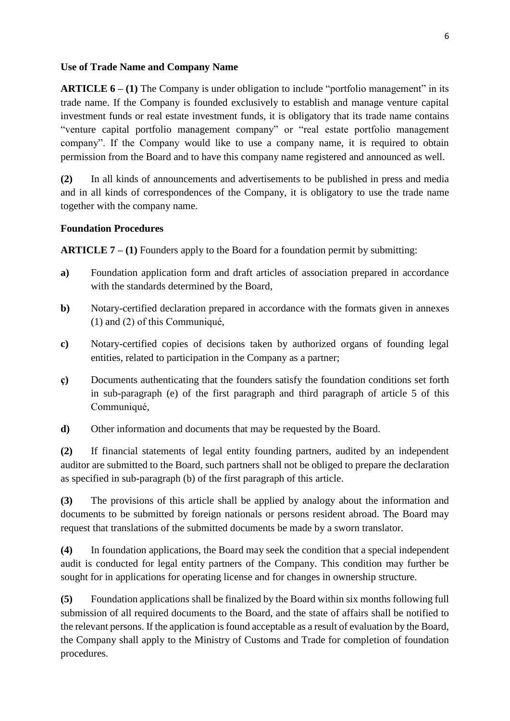#### **Use of Trade Name and Company Name**

**ARTICLE 6** – **(1)** The Company is under obligation to include "portfolio management" in its trade name. If the Company is founded exclusively to establish and manage venture capital investment funds or real estate investment funds, it is obligatory that its trade name contains "venture capital portfolio management company" or "real estate portfolio management company". If the Company would like to use a company name, it is required to obtain permission from the Board and to have this company name registered and announced as well.

**(2)** In all kinds of announcements and advertisements to be published in press and media and in all kinds of correspondences of the Company, it is obligatory to use the trade name together with the company name.

#### **Foundation Procedures**

**ARTICLE 7 – (1)** Founders apply to the Board for a foundation permit by submitting:

- **a)** Foundation application form and draft articles of association prepared in accordance with the standards determined by the Board,
- **b)** Notary-certified declaration prepared in accordance with the formats given in annexes (1) and (2) of this Communiqué,
- **c)** Notary-certified copies of decisions taken by authorized organs of founding legal entities, related to participation in the Company as a partner;
- **ç)** Documents authenticating that the founders satisfy the foundation conditions set forth in sub-paragraph (e) of the first paragraph and third paragraph of article 5 of this Communiqué,
- **d)** Other information and documents that may be requested by the Board.

**(2)** If financial statements of legal entity founding partners, audited by an independent auditor are submitted to the Board, such partners shall not be obliged to prepare the declaration as specified in sub-paragraph (b) of the first paragraph of this article.

**(3)** The provisions of this article shall be applied by analogy about the information and documents to be submitted by foreign nationals or persons resident abroad. The Board may request that translations of the submitted documents be made by a sworn translator.

**(4)** In foundation applications, the Board may seek the condition that a special independent audit is conducted for legal entity partners of the Company. This condition may further be sought for in applications for operating license and for changes in ownership structure.

**(5)** Foundation applications shall be finalized by the Board within six months following full submission of all required documents to the Board, and the state of affairs shall be notified to the relevant persons. If the application is found acceptable as a result of evaluation by the Board, the Company shall apply to the Ministry of Customs and Trade for completion of foundation procedures.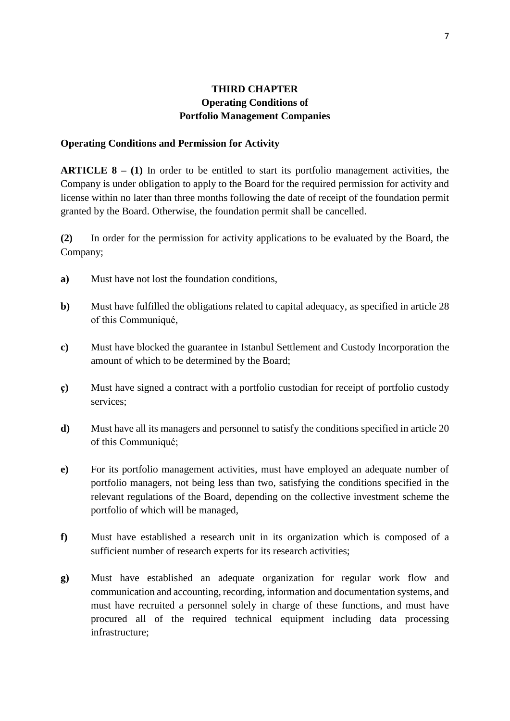## **THIRD CHAPTER Operating Conditions of Portfolio Management Companies**

#### **Operating Conditions and Permission for Activity**

**ARTICLE 8 – (1)** In order to be entitled to start its portfolio management activities, the Company is under obligation to apply to the Board for the required permission for activity and license within no later than three months following the date of receipt of the foundation permit granted by the Board. Otherwise, the foundation permit shall be cancelled.

**(2)** In order for the permission for activity applications to be evaluated by the Board, the Company;

- **a)** Must have not lost the foundation conditions,
- **b**) Must have fulfilled the obligations related to capital adequacy, as specified in article 28 of this Communiqué,
- **c)** Must have blocked the guarantee in Istanbul Settlement and Custody Incorporation the amount of which to be determined by the Board;
- **ç)** Must have signed a contract with a portfolio custodian for receipt of portfolio custody services;
- **d)** Must have all its managers and personnel to satisfy the conditions specified in article 20 of this Communiqué;
- **e)** For its portfolio management activities, must have employed an adequate number of portfolio managers, not being less than two, satisfying the conditions specified in the relevant regulations of the Board, depending on the collective investment scheme the portfolio of which will be managed,
- **f)** Must have established a research unit in its organization which is composed of a sufficient number of research experts for its research activities;
- **g)** Must have established an adequate organization for regular work flow and communication and accounting, recording, information and documentation systems, and must have recruited a personnel solely in charge of these functions, and must have procured all of the required technical equipment including data processing infrastructure;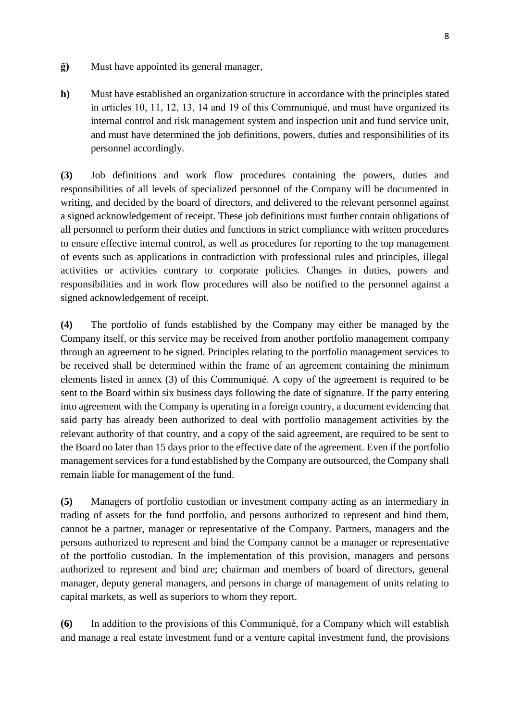- **ğ)** Must have appointed its general manager,
- **h)** Must have established an organization structure in accordance with the principles stated in articles 10, 11, 12, 13, 14 and 19 of this Communiqué, and must have organized its internal control and risk management system and inspection unit and fund service unit, and must have determined the job definitions, powers, duties and responsibilities of its personnel accordingly.

**(3)** Job definitions and work flow procedures containing the powers, duties and responsibilities of all levels of specialized personnel of the Company will be documented in writing, and decided by the board of directors, and delivered to the relevant personnel against a signed acknowledgement of receipt. These job definitions must further contain obligations of all personnel to perform their duties and functions in strict compliance with written procedures to ensure effective internal control, as well as procedures for reporting to the top management of events such as applications in contradiction with professional rules and principles, illegal activities or activities contrary to corporate policies. Changes in duties, powers and responsibilities and in work flow procedures will also be notified to the personnel against a signed acknowledgement of receipt.

**(4)** The portfolio of funds established by the Company may either be managed by the Company itself, or this service may be received from another portfolio management company through an agreement to be signed. Principles relating to the portfolio management services to be received shall be determined within the frame of an agreement containing the minimum elements listed in annex (3) of this Communiqué. A copy of the agreement is required to be sent to the Board within six business days following the date of signature. If the party entering into agreement with the Company is operating in a foreign country, a document evidencing that said party has already been authorized to deal with portfolio management activities by the relevant authority of that country, and a copy of the said agreement, are required to be sent to the Board no later than 15 days prior to the effective date of the agreement. Even if the portfolio management services for a fund established by the Company are outsourced, the Company shall remain liable for management of the fund.

**(5)** Managers of portfolio custodian or investment company acting as an intermediary in trading of assets for the fund portfolio, and persons authorized to represent and bind them, cannot be a partner, manager or representative of the Company. Partners, managers and the persons authorized to represent and bind the Company cannot be a manager or representative of the portfolio custodian. In the implementation of this provision, managers and persons authorized to represent and bind are; chairman and members of board of directors, general manager, deputy general managers, and persons in charge of management of units relating to capital markets, as well as superiors to whom they report.

**(6)** In addition to the provisions of this Communiqué, for a Company which will establish and manage a real estate investment fund or a venture capital investment fund, the provisions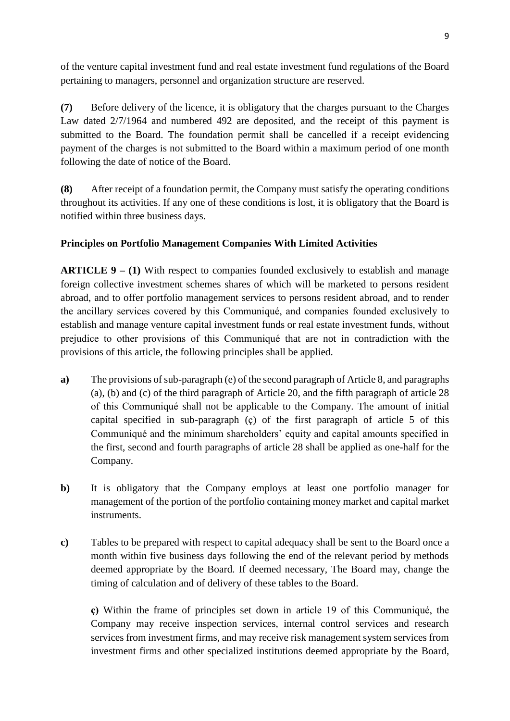of the venture capital investment fund and real estate investment fund regulations of the Board pertaining to managers, personnel and organization structure are reserved.

**(7)** Before delivery of the licence, it is obligatory that the charges pursuant to the Charges Law dated 2/7/1964 and numbered 492 are deposited, and the receipt of this payment is submitted to the Board. The foundation permit shall be cancelled if a receipt evidencing payment of the charges is not submitted to the Board within a maximum period of one month following the date of notice of the Board.

**(8)** After receipt of a foundation permit, the Company must satisfy the operating conditions throughout its activities. If any one of these conditions is lost, it is obligatory that the Board is notified within three business days.

# **Principles on Portfolio Management Companies With Limited Activities**

**ARTICLE 9 – (1)** With respect to companies founded exclusively to establish and manage foreign collective investment schemes shares of which will be marketed to persons resident abroad, and to offer portfolio management services to persons resident abroad, and to render the ancillary services covered by this Communiqué, and companies founded exclusively to establish and manage venture capital investment funds or real estate investment funds, without prejudice to other provisions of this Communiqué that are not in contradiction with the provisions of this article, the following principles shall be applied.

- **a)** The provisions of sub-paragraph (e) of the second paragraph of Article 8, and paragraphs (a), (b) and (c) of the third paragraph of Article 20, and the fifth paragraph of article 28 of this Communiqué shall not be applicable to the Company. The amount of initial capital specified in sub-paragraph (ç) of the first paragraph of article 5 of this Communiqué and the minimum shareholders' equity and capital amounts specified in the first, second and fourth paragraphs of article 28 shall be applied as one-half for the Company.
- **b**) It is obligatory that the Company employs at least one portfolio manager for management of the portion of the portfolio containing money market and capital market instruments.
- **c)** Tables to be prepared with respect to capital adequacy shall be sent to the Board once a month within five business days following the end of the relevant period by methods deemed appropriate by the Board. If deemed necessary, The Board may, change the timing of calculation and of delivery of these tables to the Board.

**ç)** Within the frame of principles set down in article 19 of this Communiqué, the Company may receive inspection services, internal control services and research services from investment firms, and may receive risk management system services from investment firms and other specialized institutions deemed appropriate by the Board,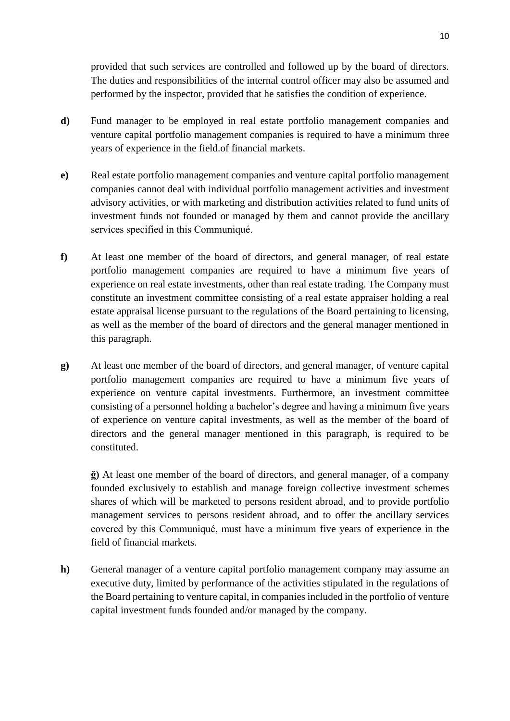provided that such services are controlled and followed up by the board of directors. The duties and responsibilities of the internal control officer may also be assumed and performed by the inspector, provided that he satisfies the condition of experience.

- **d)** Fund manager to be employed in real estate portfolio management companies and venture capital portfolio management companies is required to have a minimum three years of experience in the field.of financial markets.
- **e)** Real estate portfolio management companies and venture capital portfolio management companies cannot deal with individual portfolio management activities and investment advisory activities, or with marketing and distribution activities related to fund units of investment funds not founded or managed by them and cannot provide the ancillary services specified in this Communiqué.
- **f)** At least one member of the board of directors, and general manager, of real estate portfolio management companies are required to have a minimum five years of experience on real estate investments, other than real estate trading. The Company must constitute an investment committee consisting of a real estate appraiser holding a real estate appraisal license pursuant to the regulations of the Board pertaining to licensing, as well as the member of the board of directors and the general manager mentioned in this paragraph.
- **g)** At least one member of the board of directors, and general manager, of venture capital portfolio management companies are required to have a minimum five years of experience on venture capital investments. Furthermore, an investment committee consisting of a personnel holding a bachelor's degree and having a minimum five years of experience on venture capital investments, as well as the member of the board of directors and the general manager mentioned in this paragraph, is required to be constituted.

**ğ)** At least one member of the board of directors, and general manager, of a company founded exclusively to establish and manage foreign collective investment schemes shares of which will be marketed to persons resident abroad, and to provide portfolio management services to persons resident abroad, and to offer the ancillary services covered by this Communiqué, must have a minimum five years of experience in the field of financial markets.

**h)** General manager of a venture capital portfolio management company may assume an executive duty, limited by performance of the activities stipulated in the regulations of the Board pertaining to venture capital, in companies included in the portfolio of venture capital investment funds founded and/or managed by the company.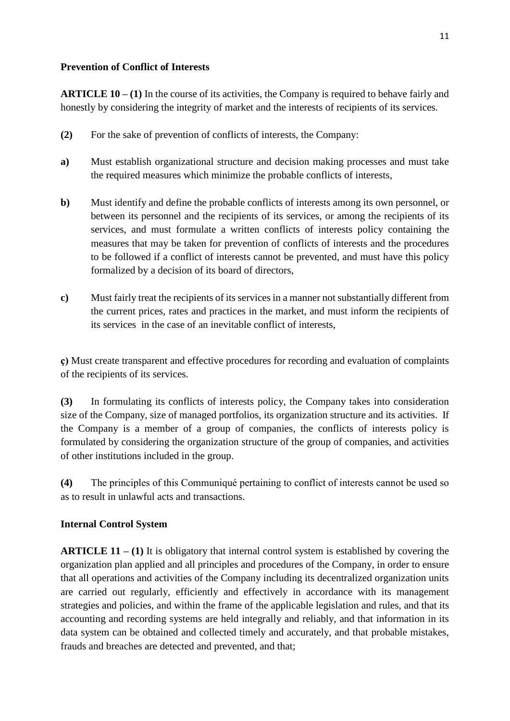## **Prevention of Conflict of Interests**

**ARTICLE 10 – (1)** In the course of its activities, the Company is required to behave fairly and honestly by considering the integrity of market and the interests of recipients of its services.

- **(2)** For the sake of prevention of conflicts of interests, the Company:
- **a)** Must establish organizational structure and decision making processes and must take the required measures which minimize the probable conflicts of interests,
- **b)** Must identify and define the probable conflicts of interests among its own personnel, or between its personnel and the recipients of its services, or among the recipients of its services, and must formulate a written conflicts of interests policy containing the measures that may be taken for prevention of conflicts of interests and the procedures to be followed if a conflict of interests cannot be prevented, and must have this policy formalized by a decision of its board of directors,
- **c)** Must fairly treat the recipients of its services in a manner not substantially different from the current prices, rates and practices in the market, and must inform the recipients of its services in the case of an inevitable conflict of interests,

**ç)** Must create transparent and effective procedures for recording and evaluation of complaints of the recipients of its services.

**(3)** In formulating its conflicts of interests policy, the Company takes into consideration size of the Company, size of managed portfolios, its organization structure and its activities. If the Company is a member of a group of companies, the conflicts of interests policy is formulated by considering the organization structure of the group of companies, and activities of other institutions included in the group.

**(4)** The principles of this Communiqué pertaining to conflict of interests cannot be used so as to result in unlawful acts and transactions.

## **Internal Control System**

**ARTICLE 11 – (1)** It is obligatory that internal control system is established by covering the organization plan applied and all principles and procedures of the Company, in order to ensure that all operations and activities of the Company including its decentralized organization units are carried out regularly, efficiently and effectively in accordance with its management strategies and policies, and within the frame of the applicable legislation and rules, and that its accounting and recording systems are held integrally and reliably, and that information in its data system can be obtained and collected timely and accurately, and that probable mistakes, frauds and breaches are detected and prevented, and that;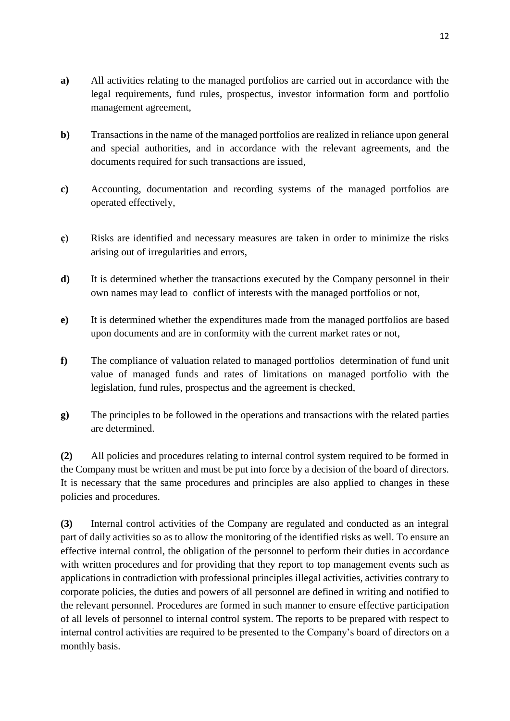- **a)** All activities relating to the managed portfolios are carried out in accordance with the legal requirements, fund rules, prospectus, investor information form and portfolio management agreement,
- **b**) Transactions in the name of the managed portfolios are realized in reliance upon general and special authorities, and in accordance with the relevant agreements, and the documents required for such transactions are issued,
- **c)** Accounting, documentation and recording systems of the managed portfolios are operated effectively,
- **ç)** Risks are identified and necessary measures are taken in order to minimize the risks arising out of irregularities and errors,
- **d)** It is determined whether the transactions executed by the Company personnel in their own names may lead to conflict of interests with the managed portfolios or not,
- **e)** It is determined whether the expenditures made from the managed portfolios are based upon documents and are in conformity with the current market rates or not,
- **f)** The compliance of valuation related to managed portfolios determination of fund unit value of managed funds and rates of limitations on managed portfolio with the legislation, fund rules, prospectus and the agreement is checked,
- **g)** The principles to be followed in the operations and transactions with the related parties are determined.

**(2)** All policies and procedures relating to internal control system required to be formed in the Company must be written and must be put into force by a decision of the board of directors. It is necessary that the same procedures and principles are also applied to changes in these policies and procedures.

**(3)** Internal control activities of the Company are regulated and conducted as an integral part of daily activities so as to allow the monitoring of the identified risks as well. To ensure an effective internal control, the obligation of the personnel to perform their duties in accordance with written procedures and for providing that they report to top management events such as applications in contradiction with professional principles illegal activities, activities contrary to corporate policies, the duties and powers of all personnel are defined in writing and notified to the relevant personnel. Procedures are formed in such manner to ensure effective participation of all levels of personnel to internal control system. The reports to be prepared with respect to internal control activities are required to be presented to the Company's board of directors on a monthly basis.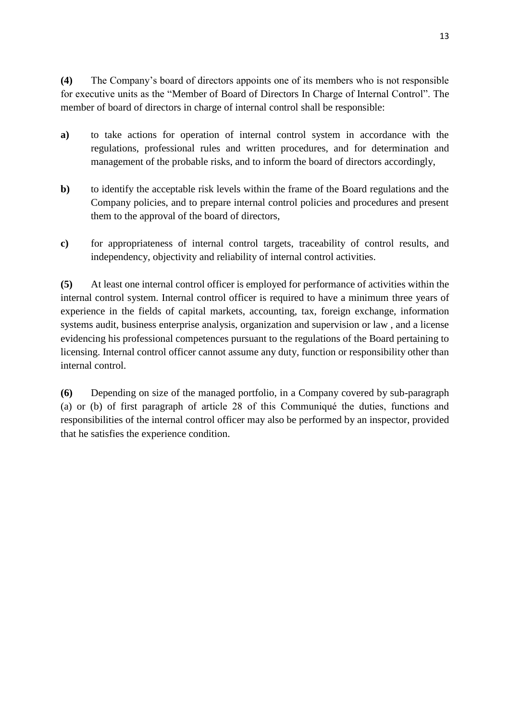**(4)** The Company's board of directors appoints one of its members who is not responsible for executive units as the "Member of Board of Directors In Charge of Internal Control". The member of board of directors in charge of internal control shall be responsible:

- **a)** to take actions for operation of internal control system in accordance with the regulations, professional rules and written procedures, and for determination and management of the probable risks, and to inform the board of directors accordingly,
- **b)** to identify the acceptable risk levels within the frame of the Board regulations and the Company policies, and to prepare internal control policies and procedures and present them to the approval of the board of directors,
- **c)** for appropriateness of internal control targets, traceability of control results, and independency, objectivity and reliability of internal control activities.

**(5)** At least one internal control officer is employed for performance of activities within the internal control system. Internal control officer is required to have a minimum three years of experience in the fields of capital markets, accounting, tax, foreign exchange, information systems audit, business enterprise analysis, organization and supervision or law , and a license evidencing his professional competences pursuant to the regulations of the Board pertaining to licensing. Internal control officer cannot assume any duty, function or responsibility other than internal control.

**(6)** Depending on size of the managed portfolio, in a Company covered by sub-paragraph (a) or (b) of first paragraph of article 28 of this Communiqué the duties, functions and responsibilities of the internal control officer may also be performed by an inspector, provided that he satisfies the experience condition.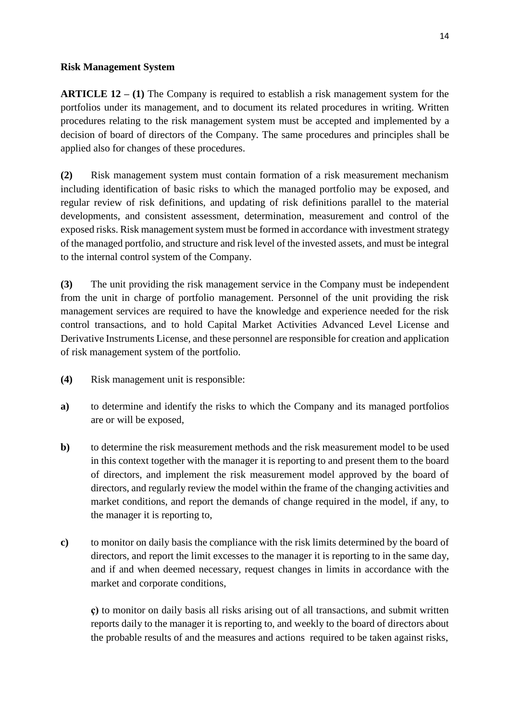#### **Risk Management System**

**ARTICLE 12 – (1)** The Company is required to establish a risk management system for the portfolios under its management, and to document its related procedures in writing. Written procedures relating to the risk management system must be accepted and implemented by a decision of board of directors of the Company. The same procedures and principles shall be applied also for changes of these procedures.

**(2)** Risk management system must contain formation of a risk measurement mechanism including identification of basic risks to which the managed portfolio may be exposed, and regular review of risk definitions, and updating of risk definitions parallel to the material developments, and consistent assessment, determination, measurement and control of the exposed risks. Risk management system must be formed in accordance with investment strategy of the managed portfolio, and structure and risk level of the invested assets, and must be integral to the internal control system of the Company.

**(3)** The unit providing the risk management service in the Company must be independent from the unit in charge of portfolio management. Personnel of the unit providing the risk management services are required to have the knowledge and experience needed for the risk control transactions, and to hold Capital Market Activities Advanced Level License and Derivative Instruments License, and these personnel are responsible for creation and application of risk management system of the portfolio.

- **(4)** Risk management unit is responsible:
- **a)** to determine and identify the risks to which the Company and its managed portfolios are or will be exposed,
- **b)** to determine the risk measurement methods and the risk measurement model to be used in this context together with the manager it is reporting to and present them to the board of directors, and implement the risk measurement model approved by the board of directors, and regularly review the model within the frame of the changing activities and market conditions, and report the demands of change required in the model, if any, to the manager it is reporting to,
- **c)** to monitor on daily basis the compliance with the risk limits determined by the board of directors, and report the limit excesses to the manager it is reporting to in the same day, and if and when deemed necessary, request changes in limits in accordance with the market and corporate conditions,

**ç)** to monitor on daily basis all risks arising out of all transactions, and submit written reports daily to the manager it is reporting to, and weekly to the board of directors about the probable results of and the measures and actions required to be taken against risks,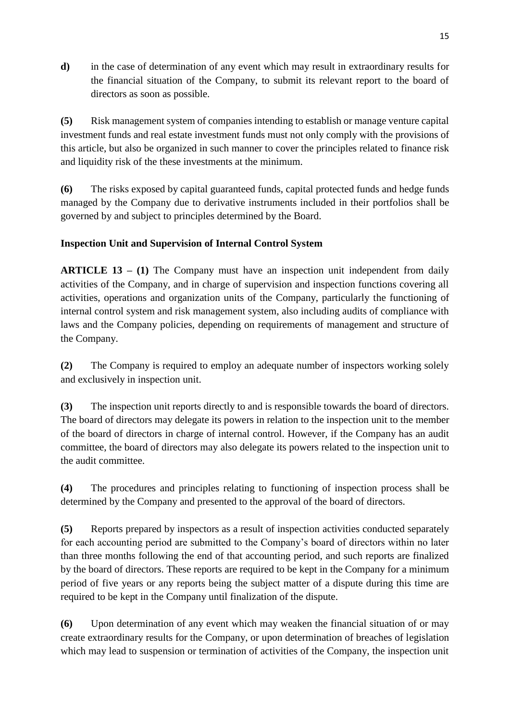**d)** in the case of determination of any event which may result in extraordinary results for the financial situation of the Company, to submit its relevant report to the board of directors as soon as possible.

**(5)** Risk management system of companies intending to establish or manage venture capital investment funds and real estate investment funds must not only comply with the provisions of this article, but also be organized in such manner to cover the principles related to finance risk and liquidity risk of the these investments at the minimum.

**(6)** The risks exposed by capital guaranteed funds, capital protected funds and hedge funds managed by the Company due to derivative instruments included in their portfolios shall be governed by and subject to principles determined by the Board.

# **Inspection Unit and Supervision of Internal Control System**

**ARTICLE 13 – (1)** The Company must have an inspection unit independent from daily activities of the Company, and in charge of supervision and inspection functions covering all activities, operations and organization units of the Company, particularly the functioning of internal control system and risk management system, also including audits of compliance with laws and the Company policies, depending on requirements of management and structure of the Company.

**(2)** The Company is required to employ an adequate number of inspectors working solely and exclusively in inspection unit.

**(3)** The inspection unit reports directly to and is responsible towards the board of directors. The board of directors may delegate its powers in relation to the inspection unit to the member of the board of directors in charge of internal control. However, if the Company has an audit committee, the board of directors may also delegate its powers related to the inspection unit to the audit committee.

**(4)** The procedures and principles relating to functioning of inspection process shall be determined by the Company and presented to the approval of the board of directors.

**(5)** Reports prepared by inspectors as a result of inspection activities conducted separately for each accounting period are submitted to the Company's board of directors within no later than three months following the end of that accounting period, and such reports are finalized by the board of directors. These reports are required to be kept in the Company for a minimum period of five years or any reports being the subject matter of a dispute during this time are required to be kept in the Company until finalization of the dispute.

**(6)** Upon determination of any event which may weaken the financial situation of or may create extraordinary results for the Company, or upon determination of breaches of legislation which may lead to suspension or termination of activities of the Company, the inspection unit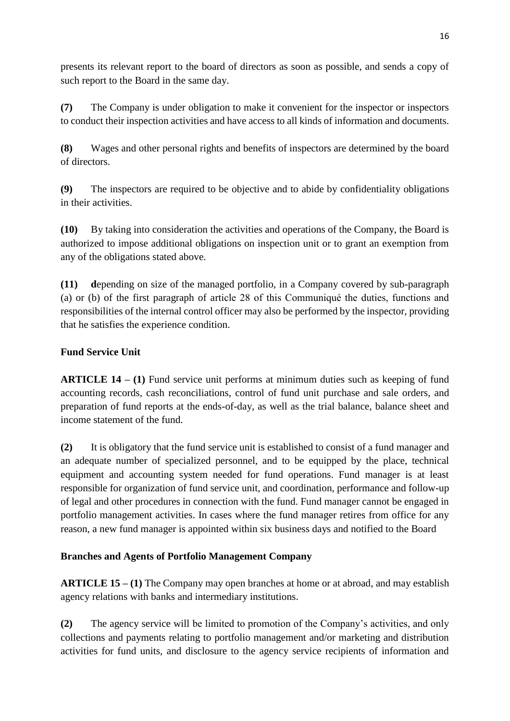presents its relevant report to the board of directors as soon as possible, and sends a copy of such report to the Board in the same day.

**(7)** The Company is under obligation to make it convenient for the inspector or inspectors to conduct their inspection activities and have access to all kinds of information and documents.

**(8)** Wages and other personal rights and benefits of inspectors are determined by the board of directors.

**(9)** The inspectors are required to be objective and to abide by confidentiality obligations in their activities.

**(10)** By taking into consideration the activities and operations of the Company, the Board is authorized to impose additional obligations on inspection unit or to grant an exemption from any of the obligations stated above.

**(11) d**epending on size of the managed portfolio, in a Company covered by sub-paragraph (a) or (b) of the first paragraph of article 28 of this Communiqué the duties, functions and responsibilities of the internal control officer may also be performed by the inspector, providing that he satisfies the experience condition.

# **Fund Service Unit**

**ARTICLE 14 – (1)** Fund service unit performs at minimum duties such as keeping of fund accounting records, cash reconciliations, control of fund unit purchase and sale orders, and preparation of fund reports at the ends-of-day, as well as the trial balance, balance sheet and income statement of the fund.

**(2)** It is obligatory that the fund service unit is established to consist of a fund manager and an adequate number of specialized personnel, and to be equipped by the place, technical equipment and accounting system needed for fund operations. Fund manager is at least responsible for organization of fund service unit, and coordination, performance and follow-up of legal and other procedures in connection with the fund. Fund manager cannot be engaged in portfolio management activities. In cases where the fund manager retires from office for any reason, a new fund manager is appointed within six business days and notified to the Board

# **Branches and Agents of Portfolio Management Company**

**ARTICLE 15 – (1)** The Company may open branches at home or at abroad, and may establish agency relations with banks and intermediary institutions.

**(2)** The agency service will be limited to promotion of the Company's activities, and only collections and payments relating to portfolio management and/or marketing and distribution activities for fund units, and disclosure to the agency service recipients of information and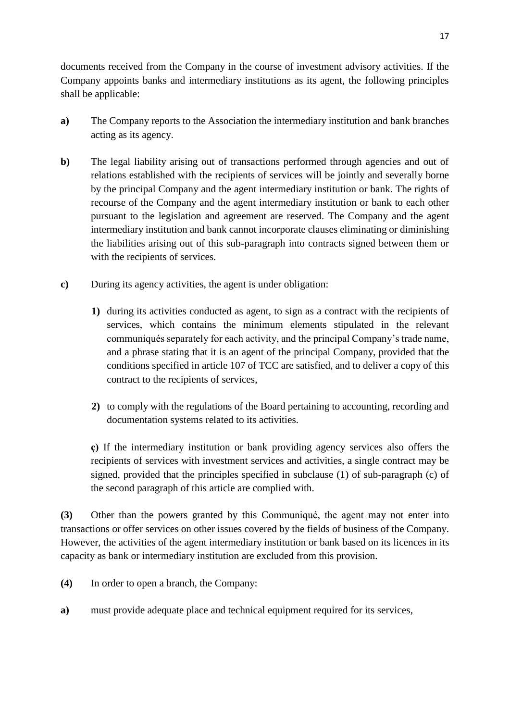documents received from the Company in the course of investment advisory activities. If the Company appoints banks and intermediary institutions as its agent, the following principles shall be applicable:

- **a)** The Company reports to the Association the intermediary institution and bank branches acting as its agency.
- **b**) The legal liability arising out of transactions performed through agencies and out of relations established with the recipients of services will be jointly and severally borne by the principal Company and the agent intermediary institution or bank. The rights of recourse of the Company and the agent intermediary institution or bank to each other pursuant to the legislation and agreement are reserved. The Company and the agent intermediary institution and bank cannot incorporate clauses eliminating or diminishing the liabilities arising out of this sub-paragraph into contracts signed between them or with the recipients of services.
- **c)** During its agency activities, the agent is under obligation:
	- **1)** during its activities conducted as agent, to sign as a contract with the recipients of services, which contains the minimum elements stipulated in the relevant communiqués separately for each activity, and the principal Company's trade name, and a phrase stating that it is an agent of the principal Company, provided that the conditions specified in article 107 of TCC are satisfied, and to deliver a copy of this contract to the recipients of services,
	- **2)** to comply with the regulations of the Board pertaining to accounting, recording and documentation systems related to its activities.

**ç)** If the intermediary institution or bank providing agency services also offers the recipients of services with investment services and activities, a single contract may be signed, provided that the principles specified in subclause (1) of sub-paragraph (c) of the second paragraph of this article are complied with.

**(3)** Other than the powers granted by this Communiqué, the agent may not enter into transactions or offer services on other issues covered by the fields of business of the Company. However, the activities of the agent intermediary institution or bank based on its licences in its capacity as bank or intermediary institution are excluded from this provision.

- **(4)** In order to open a branch, the Company:
- **a)** must provide adequate place and technical equipment required for its services,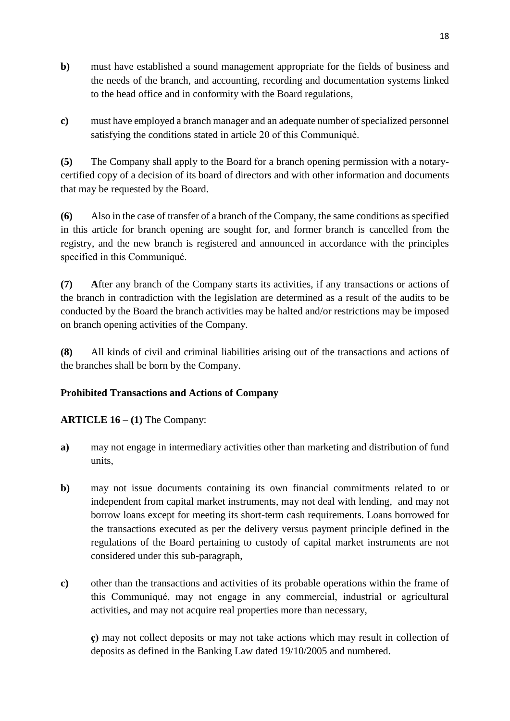- **b**) must have established a sound management appropriate for the fields of business and the needs of the branch, and accounting, recording and documentation systems linked to the head office and in conformity with the Board regulations,
- **c)** must have employed a branch manager and an adequate number of specialized personnel satisfying the conditions stated in article 20 of this Communiqué.

**(5)** The Company shall apply to the Board for a branch opening permission with a notarycertified copy of a decision of its board of directors and with other information and documents that may be requested by the Board.

**(6)** Also in the case of transfer of a branch of the Company, the same conditions as specified in this article for branch opening are sought for, and former branch is cancelled from the registry, and the new branch is registered and announced in accordance with the principles specified in this Communiqué.

**(7) A**fter any branch of the Company starts its activities, if any transactions or actions of the branch in contradiction with the legislation are determined as a result of the audits to be conducted by the Board the branch activities may be halted and/or restrictions may be imposed on branch opening activities of the Company.

**(8)** All kinds of civil and criminal liabilities arising out of the transactions and actions of the branches shall be born by the Company.

# **Prohibited Transactions and Actions of Company**

# **ARTICLE 16 – (1)** The Company:

- **a)** may not engage in intermediary activities other than marketing and distribution of fund units,
- **b)** may not issue documents containing its own financial commitments related to or independent from capital market instruments, may not deal with lending, and may not borrow loans except for meeting its short-term cash requirements. Loans borrowed for the transactions executed as per the delivery versus payment principle defined in the regulations of the Board pertaining to custody of capital market instruments are not considered under this sub-paragraph,
- **c)** other than the transactions and activities of its probable operations within the frame of this Communiqué, may not engage in any commercial, industrial or agricultural activities, and may not acquire real properties more than necessary,

**ç)** may not collect deposits or may not take actions which may result in collection of deposits as defined in the Banking Law dated 19/10/2005 and numbered.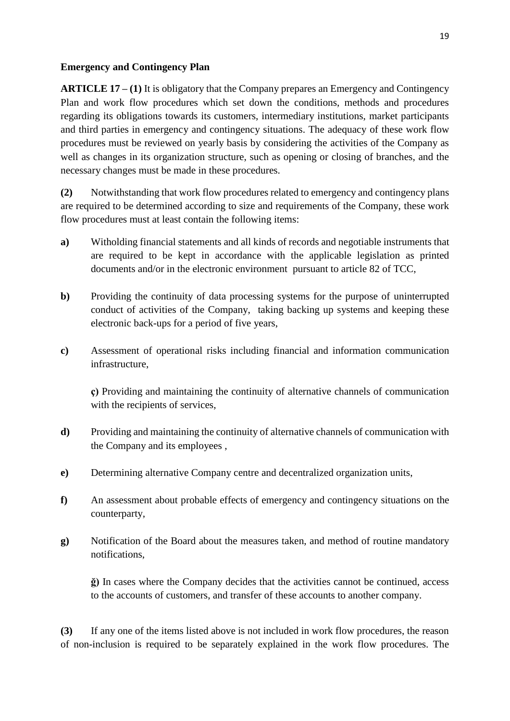#### **Emergency and Contingency Plan**

**ARTICLE 17 – (1)** It is obligatory that the Company prepares an Emergency and Contingency Plan and work flow procedures which set down the conditions, methods and procedures regarding its obligations towards its customers, intermediary institutions, market participants and third parties in emergency and contingency situations. The adequacy of these work flow procedures must be reviewed on yearly basis by considering the activities of the Company as well as changes in its organization structure, such as opening or closing of branches, and the necessary changes must be made in these procedures.

**(2)** Notwithstanding that work flow procedures related to emergency and contingency plans are required to be determined according to size and requirements of the Company, these work flow procedures must at least contain the following items:

- **a)** Witholding financial statements and all kinds of records and negotiable instruments that are required to be kept in accordance with the applicable legislation as printed documents and/or in the electronic environment pursuant to article 82 of TCC,
- **b**) Providing the continuity of data processing systems for the purpose of uninterrupted conduct of activities of the Company, taking backing up systems and keeping these electronic back-ups for a period of five years,
- **c)** Assessment of operational risks including financial and information communication infrastructure,

**ç)** Providing and maintaining the continuity of alternative channels of communication with the recipients of services,

- **d)** Providing and maintaining the continuity of alternative channels of communication with the Company and its employees ,
- **e)** Determining alternative Company centre and decentralized organization units,
- **f)** An assessment about probable effects of emergency and contingency situations on the counterparty,
- **g)** Notification of the Board about the measures taken, and method of routine mandatory notifications,

**ğ)** In cases where the Company decides that the activities cannot be continued, access to the accounts of customers, and transfer of these accounts to another company.

**(3)** If any one of the items listed above is not included in work flow procedures, the reason of non-inclusion is required to be separately explained in the work flow procedures. The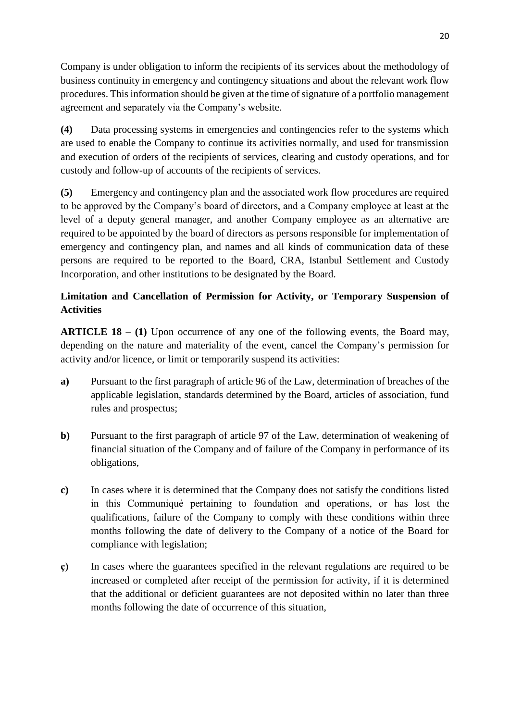Company is under obligation to inform the recipients of its services about the methodology of business continuity in emergency and contingency situations and about the relevant work flow procedures. Thisinformation should be given at the time of signature of a portfolio management agreement and separately via the Company's website.

**(4)** Data processing systems in emergencies and contingencies refer to the systems which are used to enable the Company to continue its activities normally, and used for transmission and execution of orders of the recipients of services, clearing and custody operations, and for custody and follow-up of accounts of the recipients of services.

**(5)** Emergency and contingency plan and the associated work flow procedures are required to be approved by the Company's board of directors, and a Company employee at least at the level of a deputy general manager, and another Company employee as an alternative are required to be appointed by the board of directors as persons responsible for implementation of emergency and contingency plan, and names and all kinds of communication data of these persons are required to be reported to the Board, CRA, Istanbul Settlement and Custody Incorporation, and other institutions to be designated by the Board.

# **Limitation and Cancellation of Permission for Activity, or Temporary Suspension of Activities**

**ARTICLE 18 – (1)** Upon occurrence of any one of the following events, the Board may, depending on the nature and materiality of the event, cancel the Company's permission for activity and/or licence, or limit or temporarily suspend its activities:

- **a)** Pursuant to the first paragraph of article 96 of the Law, determination of breaches of the applicable legislation, standards determined by the Board, articles of association, fund rules and prospectus;
- **b)** Pursuant to the first paragraph of article 97 of the Law, determination of weakening of financial situation of the Company and of failure of the Company in performance of its obligations,
- **c)** In cases where it is determined that the Company does not satisfy the conditions listed in this Communiqué pertaining to foundation and operations, or has lost the qualifications, failure of the Company to comply with these conditions within three months following the date of delivery to the Company of a notice of the Board for compliance with legislation;
- **ç)** In cases where the guarantees specified in the relevant regulations are required to be increased or completed after receipt of the permission for activity, if it is determined that the additional or deficient guarantees are not deposited within no later than three months following the date of occurrence of this situation,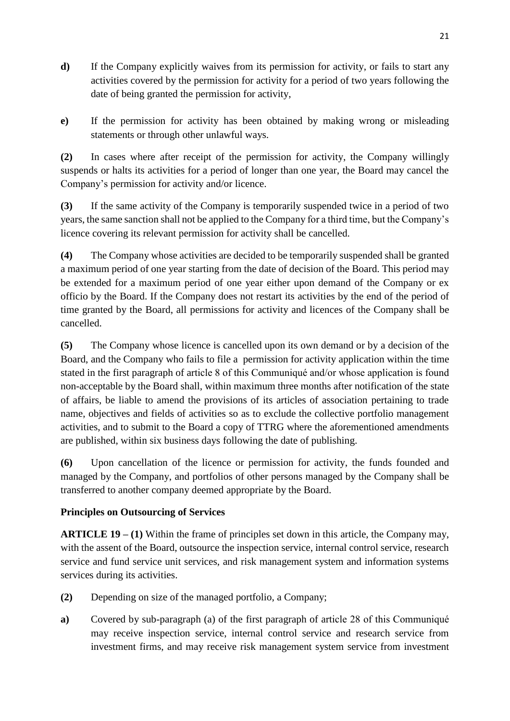- **d)** If the Company explicitly waives from its permission for activity, or fails to start any activities covered by the permission for activity for a period of two years following the date of being granted the permission for activity,
- **e)** If the permission for activity has been obtained by making wrong or misleading statements or through other unlawful ways.

**(2)** In cases where after receipt of the permission for activity, the Company willingly suspends or halts its activities for a period of longer than one year, the Board may cancel the Company's permission for activity and/or licence.

**(3)** If the same activity of the Company is temporarily suspended twice in a period of two years, the same sanction shall not be applied to the Company for a third time, but the Company's licence covering its relevant permission for activity shall be cancelled.

**(4)** The Company whose activities are decided to be temporarily suspended shall be granted a maximum period of one year starting from the date of decision of the Board. This period may be extended for a maximum period of one year either upon demand of the Company or ex officio by the Board. If the Company does not restart its activities by the end of the period of time granted by the Board, all permissions for activity and licences of the Company shall be cancelled.

**(5)** The Company whose licence is cancelled upon its own demand or by a decision of the Board, and the Company who fails to file a permission for activity application within the time stated in the first paragraph of article 8 of this Communiqué and/or whose application is found non-acceptable by the Board shall, within maximum three months after notification of the state of affairs, be liable to amend the provisions of its articles of association pertaining to trade name, objectives and fields of activities so as to exclude the collective portfolio management activities, and to submit to the Board a copy of TTRG where the aforementioned amendments are published, within six business days following the date of publishing.

**(6)** Upon cancellation of the licence or permission for activity, the funds founded and managed by the Company, and portfolios of other persons managed by the Company shall be transferred to another company deemed appropriate by the Board.

## **Principles on Outsourcing of Services**

**ARTICLE 19 – (1)** Within the frame of principles set down in this article, the Company may, with the assent of the Board, outsource the inspection service, internal control service, research service and fund service unit services, and risk management system and information systems services during its activities.

- **(2)** Depending on size of the managed portfolio, a Company;
- **a)** Covered by sub-paragraph (a) of the first paragraph of article 28 of this Communiqué may receive inspection service, internal control service and research service from investment firms, and may receive risk management system service from investment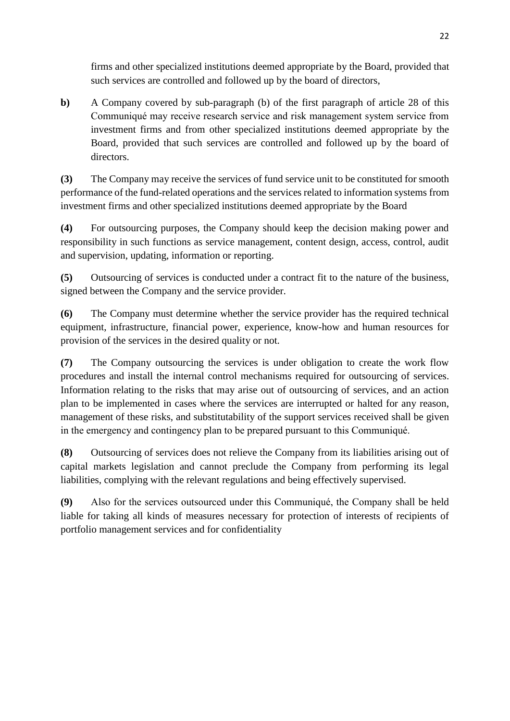firms and other specialized institutions deemed appropriate by the Board, provided that such services are controlled and followed up by the board of directors,

**b)** A Company covered by sub-paragraph (b) of the first paragraph of article 28 of this Communiqué may receive research service and risk management system service from investment firms and from other specialized institutions deemed appropriate by the Board, provided that such services are controlled and followed up by the board of directors.

**(3)** The Company may receive the services of fund service unit to be constituted for smooth performance of the fund-related operations and the services related to information systems from investment firms and other specialized institutions deemed appropriate by the Board

**(4)** For outsourcing purposes, the Company should keep the decision making power and responsibility in such functions as service management, content design, access, control, audit and supervision, updating, information or reporting.

**(5)** Outsourcing of services is conducted under a contract fit to the nature of the business, signed between the Company and the service provider.

**(6)** The Company must determine whether the service provider has the required technical equipment, infrastructure, financial power, experience, know-how and human resources for provision of the services in the desired quality or not.

**(7)** The Company outsourcing the services is under obligation to create the work flow procedures and install the internal control mechanisms required for outsourcing of services. Information relating to the risks that may arise out of outsourcing of services, and an action plan to be implemented in cases where the services are interrupted or halted for any reason, management of these risks, and substitutability of the support services received shall be given in the emergency and contingency plan to be prepared pursuant to this Communiqué.

**(8)** Outsourcing of services does not relieve the Company from its liabilities arising out of capital markets legislation and cannot preclude the Company from performing its legal liabilities, complying with the relevant regulations and being effectively supervised.

**(9)** Also for the services outsourced under this Communiqué, the Company shall be held liable for taking all kinds of measures necessary for protection of interests of recipients of portfolio management services and for confidentiality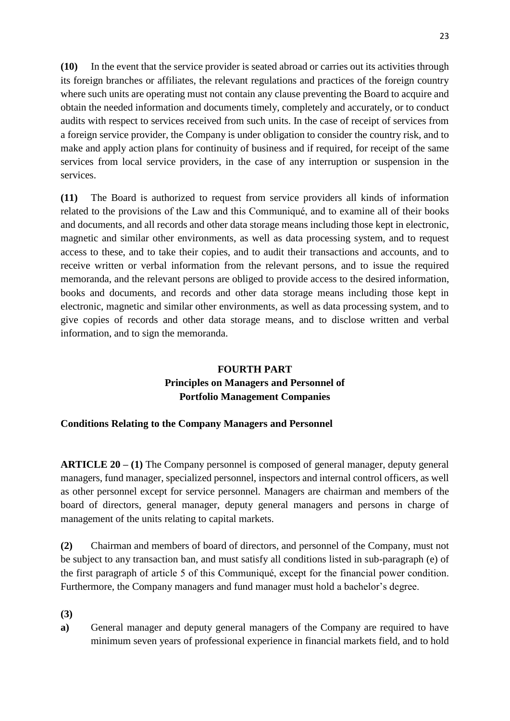**(10)** In the event that the service provider is seated abroad or carries out its activities through its foreign branches or affiliates, the relevant regulations and practices of the foreign country where such units are operating must not contain any clause preventing the Board to acquire and obtain the needed information and documents timely, completely and accurately, or to conduct audits with respect to services received from such units. In the case of receipt of services from a foreign service provider, the Company is under obligation to consider the country risk, and to make and apply action plans for continuity of business and if required, for receipt of the same services from local service providers, in the case of any interruption or suspension in the services.

**(11)** The Board is authorized to request from service providers all kinds of information related to the provisions of the Law and this Communiqué, and to examine all of their books and documents, and all records and other data storage means including those kept in electronic, magnetic and similar other environments, as well as data processing system, and to request access to these, and to take their copies, and to audit their transactions and accounts, and to receive written or verbal information from the relevant persons, and to issue the required memoranda, and the relevant persons are obliged to provide access to the desired information, books and documents, and records and other data storage means including those kept in electronic, magnetic and similar other environments, as well as data processing system, and to give copies of records and other data storage means, and to disclose written and verbal information, and to sign the memoranda.

# **FOURTH PART Principles on Managers and Personnel of Portfolio Management Companies**

# **Conditions Relating to the Company Managers and Personnel**

**ARTICLE 20 – (1)** The Company personnel is composed of general manager, deputy general managers, fund manager, specialized personnel, inspectors and internal control officers, as well as other personnel except for service personnel. Managers are chairman and members of the board of directors, general manager, deputy general managers and persons in charge of management of the units relating to capital markets.

**(2)** Chairman and members of board of directors, and personnel of the Company, must not be subject to any transaction ban, and must satisfy all conditions listed in sub-paragraph (e) of the first paragraph of article 5 of this Communiqué, except for the financial power condition. Furthermore, the Company managers and fund manager must hold a bachelor's degree.

**(3)**

**a)** General manager and deputy general managers of the Company are required to have minimum seven years of professional experience in financial markets field, and to hold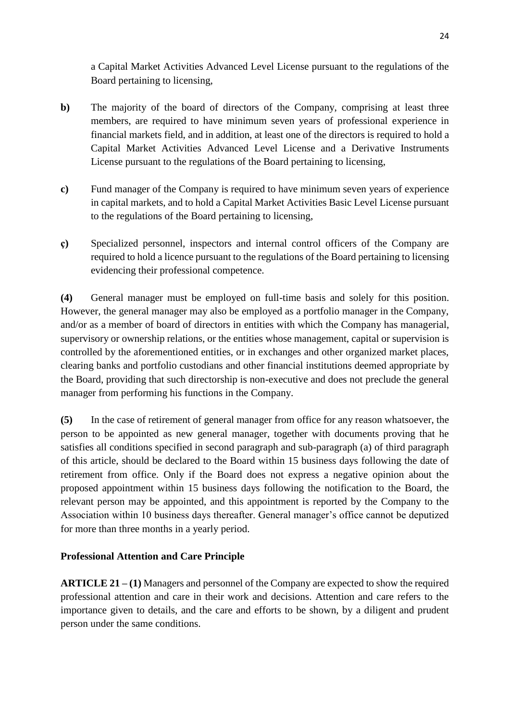a Capital Market Activities Advanced Level License pursuant to the regulations of the Board pertaining to licensing,

- **b**) The majority of the board of directors of the Company, comprising at least three members, are required to have minimum seven years of professional experience in financial markets field, and in addition, at least one of the directors is required to hold a Capital Market Activities Advanced Level License and a Derivative Instruments License pursuant to the regulations of the Board pertaining to licensing,
- **c)** Fund manager of the Company is required to have minimum seven years of experience in capital markets, and to hold a Capital Market Activities Basic Level License pursuant to the regulations of the Board pertaining to licensing,
- **ç)** Specialized personnel, inspectors and internal control officers of the Company are required to hold a licence pursuant to the regulations of the Board pertaining to licensing evidencing their professional competence.

**(4)** General manager must be employed on full-time basis and solely for this position. However, the general manager may also be employed as a portfolio manager in the Company, and/or as a member of board of directors in entities with which the Company has managerial, supervisory or ownership relations, or the entities whose management, capital or supervision is controlled by the aforementioned entities, or in exchanges and other organized market places, clearing banks and portfolio custodians and other financial institutions deemed appropriate by the Board, providing that such directorship is non-executive and does not preclude the general manager from performing his functions in the Company.

**(5)** In the case of retirement of general manager from office for any reason whatsoever, the person to be appointed as new general manager, together with documents proving that he satisfies all conditions specified in second paragraph and sub-paragraph (a) of third paragraph of this article, should be declared to the Board within 15 business days following the date of retirement from office. Only if the Board does not express a negative opinion about the proposed appointment within 15 business days following the notification to the Board, the relevant person may be appointed, and this appointment is reported by the Company to the Association within 10 business days thereafter. General manager's office cannot be deputized for more than three months in a yearly period.

# **Professional Attention and Care Principle**

**ARTICLE 21 – (1)** Managers and personnel of the Company are expected to show the required professional attention and care in their work and decisions. Attention and care refers to the importance given to details, and the care and efforts to be shown, by a diligent and prudent person under the same conditions.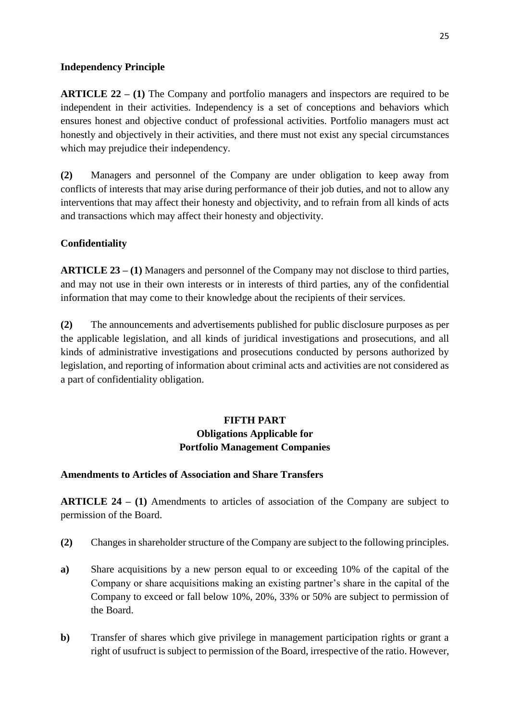## **Independency Principle**

**ARTICLE 22 – (1)** The Company and portfolio managers and inspectors are required to be independent in their activities. Independency is a set of conceptions and behaviors which ensures honest and objective conduct of professional activities. Portfolio managers must act honestly and objectively in their activities, and there must not exist any special circumstances which may prejudice their independency.

**(2)** Managers and personnel of the Company are under obligation to keep away from conflicts of interests that may arise during performance of their job duties, and not to allow any interventions that may affect their honesty and objectivity, and to refrain from all kinds of acts and transactions which may affect their honesty and objectivity.

# **Confidentiality**

**ARTICLE 23 – (1)** Managers and personnel of the Company may not disclose to third parties, and may not use in their own interests or in interests of third parties, any of the confidential information that may come to their knowledge about the recipients of their services.

**(2)** The announcements and advertisements published for public disclosure purposes as per the applicable legislation, and all kinds of juridical investigations and prosecutions, and all kinds of administrative investigations and prosecutions conducted by persons authorized by legislation, and reporting of information about criminal acts and activities are not considered as a part of confidentiality obligation.

# **FIFTH PART Obligations Applicable for Portfolio Management Companies**

## **Amendments to Articles of Association and Share Transfers**

**ARTICLE 24 – (1)** Amendments to articles of association of the Company are subject to permission of the Board.

- **(2)** Changes in shareholder structure of the Company are subject to the following principles.
- **a)** Share acquisitions by a new person equal to or exceeding 10% of the capital of the Company or share acquisitions making an existing partner's share in the capital of the Company to exceed or fall below 10%, 20%, 33% or 50% are subject to permission of the Board.
- **b**) Transfer of shares which give privilege in management participation rights or grant a right of usufruct is subject to permission of the Board, irrespective of the ratio. However,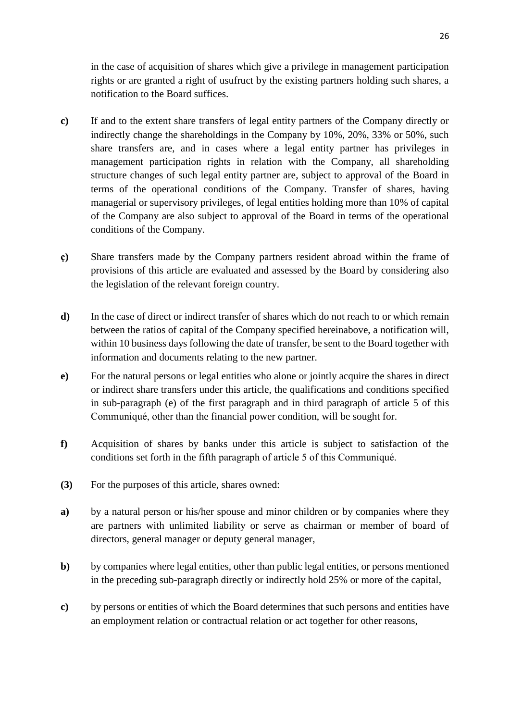in the case of acquisition of shares which give a privilege in management participation rights or are granted a right of usufruct by the existing partners holding such shares, a notification to the Board suffices.

- **c)** If and to the extent share transfers of legal entity partners of the Company directly or indirectly change the shareholdings in the Company by 10%, 20%, 33% or 50%, such share transfers are, and in cases where a legal entity partner has privileges in management participation rights in relation with the Company, all shareholding structure changes of such legal entity partner are, subject to approval of the Board in terms of the operational conditions of the Company. Transfer of shares, having managerial or supervisory privileges, of legal entities holding more than 10% of capital of the Company are also subject to approval of the Board in terms of the operational conditions of the Company.
- **ç)** Share transfers made by the Company partners resident abroad within the frame of provisions of this article are evaluated and assessed by the Board by considering also the legislation of the relevant foreign country.
- **d)** In the case of direct or indirect transfer of shares which do not reach to or which remain between the ratios of capital of the Company specified hereinabove, a notification will, within 10 business days following the date of transfer, be sent to the Board together with information and documents relating to the new partner.
- **e)** For the natural persons or legal entities who alone or jointly acquire the shares in direct or indirect share transfers under this article, the qualifications and conditions specified in sub-paragraph (e) of the first paragraph and in third paragraph of article 5 of this Communiqué, other than the financial power condition, will be sought for.
- **f)** Acquisition of shares by banks under this article is subject to satisfaction of the conditions set forth in the fifth paragraph of article 5 of this Communiqué.
- **(3)** For the purposes of this article, shares owned:
- **a)** by a natural person or his/her spouse and minor children or by companies where they are partners with unlimited liability or serve as chairman or member of board of directors, general manager or deputy general manager,
- **b**) by companies where legal entities, other than public legal entities, or persons mentioned in the preceding sub-paragraph directly or indirectly hold 25% or more of the capital,
- **c)** by persons or entities of which the Board determines that such persons and entities have an employment relation or contractual relation or act together for other reasons,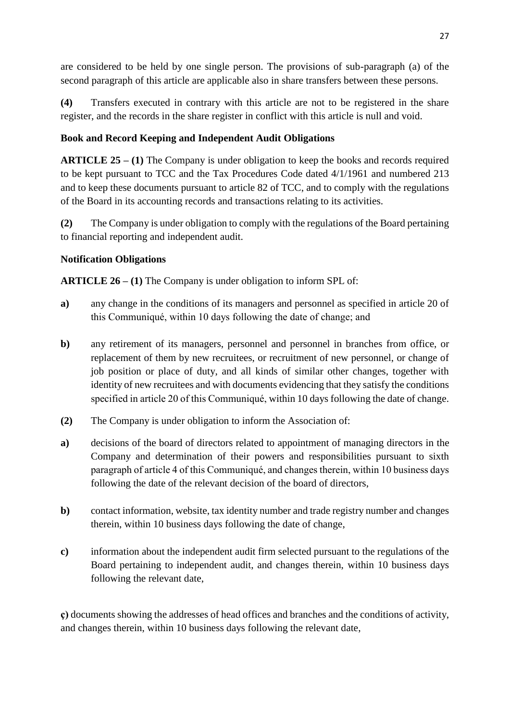are considered to be held by one single person. The provisions of sub-paragraph (a) of the second paragraph of this article are applicable also in share transfers between these persons.

**(4)** Transfers executed in contrary with this article are not to be registered in the share register, and the records in the share register in conflict with this article is null and void.

# **Book and Record Keeping and Independent Audit Obligations**

**ARTICLE 25 – (1)** The Company is under obligation to keep the books and records required to be kept pursuant to TCC and the Tax Procedures Code dated 4/1/1961 and numbered 213 and to keep these documents pursuant to article 82 of TCC, and to comply with the regulations of the Board in its accounting records and transactions relating to its activities.

**(2)** The Company is under obligation to comply with the regulations of the Board pertaining to financial reporting and independent audit.

## **Notification Obligations**

**ARTICLE 26 – (1)** The Company is under obligation to inform SPL of:

- **a)** any change in the conditions of its managers and personnel as specified in article 20 of this Communiqué, within 10 days following the date of change; and
- **b)** any retirement of its managers, personnel and personnel in branches from office, or replacement of them by new recruitees, or recruitment of new personnel, or change of job position or place of duty, and all kinds of similar other changes, together with identity of new recruitees and with documents evidencing that they satisfy the conditions specified in article 20 of this Communiqué, within 10 days following the date of change.
- **(2)** The Company is under obligation to inform the Association of:
- **a)** decisions of the board of directors related to appointment of managing directors in the Company and determination of their powers and responsibilities pursuant to sixth paragraph of article 4 of this Communiqué, and changes therein, within 10 business days following the date of the relevant decision of the board of directors,
- **b**) contact information, website, tax identity number and trade registry number and changes therein, within 10 business days following the date of change,
- **c)** information about the independent audit firm selected pursuant to the regulations of the Board pertaining to independent audit, and changes therein, within 10 business days following the relevant date,

**ç)** documents showing the addresses of head offices and branches and the conditions of activity, and changes therein, within 10 business days following the relevant date,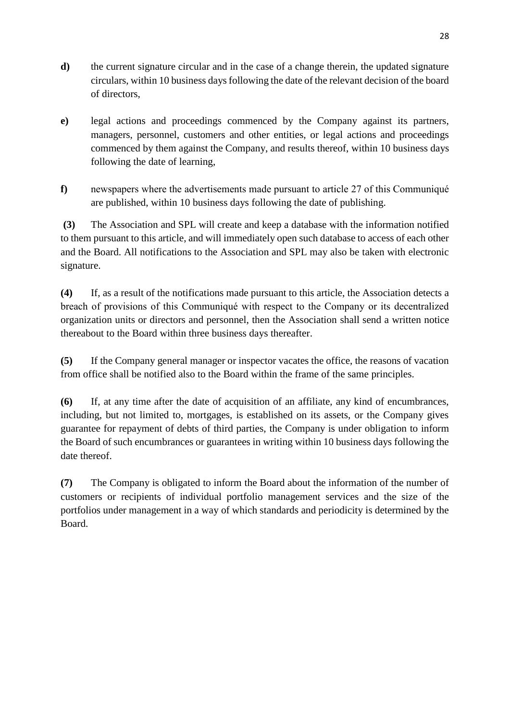- **d)** the current signature circular and in the case of a change therein, the updated signature circulars, within 10 business days following the date of the relevant decision of the board of directors,
- **e)** legal actions and proceedings commenced by the Company against its partners, managers, personnel, customers and other entities, or legal actions and proceedings commenced by them against the Company, and results thereof, within 10 business days following the date of learning,
- **f)** newspapers where the advertisements made pursuant to article 27 of this Communiqué are published, within 10 business days following the date of publishing.

**(3)** The Association and SPL will create and keep a database with the information notified to them pursuant to this article, and will immediately open such database to access of each other and the Board. All notifications to the Association and SPL may also be taken with electronic signature.

**(4)** If, as a result of the notifications made pursuant to this article, the Association detects a breach of provisions of this Communiqué with respect to the Company or its decentralized organization units or directors and personnel, then the Association shall send a written notice thereabout to the Board within three business days thereafter.

**(5)** If the Company general manager or inspector vacates the office, the reasons of vacation from office shall be notified also to the Board within the frame of the same principles.

**(6)** If, at any time after the date of acquisition of an affiliate, any kind of encumbrances, including, but not limited to, mortgages, is established on its assets, or the Company gives guarantee for repayment of debts of third parties, the Company is under obligation to inform the Board of such encumbrances or guarantees in writing within 10 business days following the date thereof.

**(7)** The Company is obligated to inform the Board about the information of the number of customers or recipients of individual portfolio management services and the size of the portfolios under management in a way of which standards and periodicity is determined by the Board.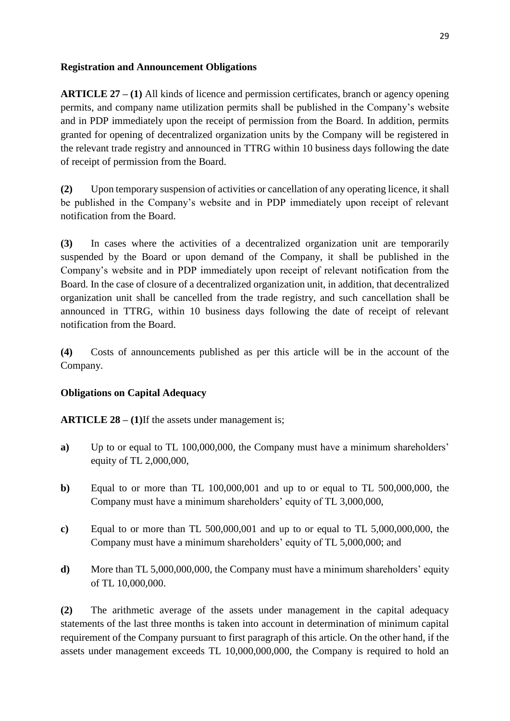## **Registration and Announcement Obligations**

**ARTICLE 27 – (1)** All kinds of licence and permission certificates, branch or agency opening permits, and company name utilization permits shall be published in the Company's website and in PDP immediately upon the receipt of permission from the Board. In addition, permits granted for opening of decentralized organization units by the Company will be registered in the relevant trade registry and announced in TTRG within 10 business days following the date of receipt of permission from the Board.

**(2)** Upon temporary suspension of activities or cancellation of any operating licence, it shall be published in the Company's website and in PDP immediately upon receipt of relevant notification from the Board.

**(3)** In cases where the activities of a decentralized organization unit are temporarily suspended by the Board or upon demand of the Company, it shall be published in the Company's website and in PDP immediately upon receipt of relevant notification from the Board. In the case of closure of a decentralized organization unit, in addition, that decentralized organization unit shall be cancelled from the trade registry, and such cancellation shall be announced in TTRG, within 10 business days following the date of receipt of relevant notification from the Board.

**(4)** Costs of announcements published as per this article will be in the account of the Company.

# **Obligations on Capital Adequacy**

**ARTICLE 28 – (1)**If the assets under management is;

- **a)** Up to or equal to TL 100,000,000, the Company must have a minimum shareholders' equity of TL 2,000,000,
- **b)** Equal to or more than TL 100,000,001 and up to or equal to TL 500,000,000, the Company must have a minimum shareholders' equity of TL 3,000,000,
- **c)** Equal to or more than TL 500,000,001 and up to or equal to TL 5,000,000,000, the Company must have a minimum shareholders' equity of TL 5,000,000; and
- **d**) More than TL 5,000,000,000, the Company must have a minimum shareholders' equity of TL 10,000,000.

**(2)** The arithmetic average of the assets under management in the capital adequacy statements of the last three months is taken into account in determination of minimum capital requirement of the Company pursuant to first paragraph of this article. On the other hand, if the assets under management exceeds TL 10,000,000,000, the Company is required to hold an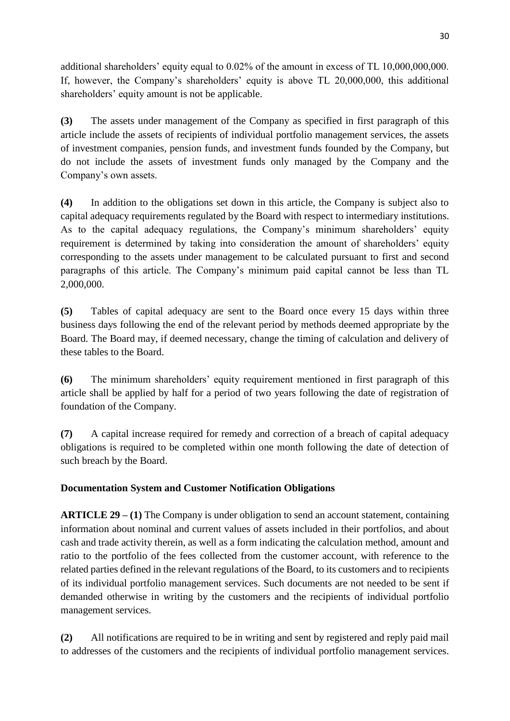additional shareholders' equity equal to 0.02% of the amount in excess of TL 10,000,000,000. If, however, the Company's shareholders' equity is above TL 20,000,000, this additional shareholders' equity amount is not be applicable.

**(3)** The assets under management of the Company as specified in first paragraph of this article include the assets of recipients of individual portfolio management services, the assets of investment companies, pension funds, and investment funds founded by the Company, but do not include the assets of investment funds only managed by the Company and the Company's own assets.

**(4)** In addition to the obligations set down in this article, the Company is subject also to capital adequacy requirements regulated by the Board with respect to intermediary institutions. As to the capital adequacy regulations, the Company's minimum shareholders' equity requirement is determined by taking into consideration the amount of shareholders' equity corresponding to the assets under management to be calculated pursuant to first and second paragraphs of this article. The Company's minimum paid capital cannot be less than TL 2,000,000.

**(5)** Tables of capital adequacy are sent to the Board once every 15 days within three business days following the end of the relevant period by methods deemed appropriate by the Board. The Board may, if deemed necessary, change the timing of calculation and delivery of these tables to the Board.

**(6)** The minimum shareholders' equity requirement mentioned in first paragraph of this article shall be applied by half for a period of two years following the date of registration of foundation of the Company.

**(7)** A capital increase required for remedy and correction of a breach of capital adequacy obligations is required to be completed within one month following the date of detection of such breach by the Board.

# **Documentation System and Customer Notification Obligations**

**ARTICLE 29 – (1)** The Company is under obligation to send an account statement, containing information about nominal and current values of assets included in their portfolios, and about cash and trade activity therein, as well as a form indicating the calculation method, amount and ratio to the portfolio of the fees collected from the customer account, with reference to the related parties defined in the relevant regulations of the Board, to its customers and to recipients of its individual portfolio management services. Such documents are not needed to be sent if demanded otherwise in writing by the customers and the recipients of individual portfolio management services.

**(2)** All notifications are required to be in writing and sent by registered and reply paid mail to addresses of the customers and the recipients of individual portfolio management services.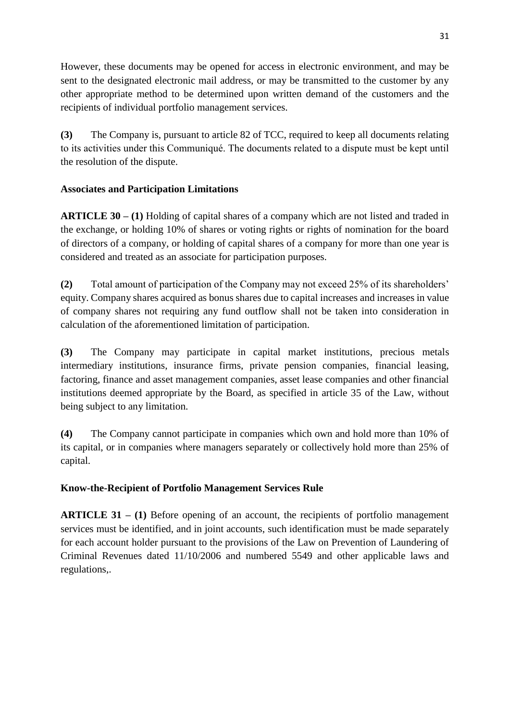However, these documents may be opened for access in electronic environment, and may be sent to the designated electronic mail address, or may be transmitted to the customer by any other appropriate method to be determined upon written demand of the customers and the recipients of individual portfolio management services.

**(3)** The Company is, pursuant to article 82 of TCC, required to keep all documents relating to its activities under this Communiqué. The documents related to a dispute must be kept until the resolution of the dispute.

# **Associates and Participation Limitations**

**ARTICLE 30 – (1)** Holding of capital shares of a company which are not listed and traded in the exchange, or holding 10% of shares or voting rights or rights of nomination for the board of directors of a company, or holding of capital shares of a company for more than one year is considered and treated as an associate for participation purposes.

**(2)** Total amount of participation of the Company may not exceed 25% of its shareholders' equity. Company shares acquired as bonus shares due to capital increases and increases in value of company shares not requiring any fund outflow shall not be taken into consideration in calculation of the aforementioned limitation of participation.

**(3)** The Company may participate in capital market institutions, precious metals intermediary institutions, insurance firms, private pension companies, financial leasing, factoring, finance and asset management companies, asset lease companies and other financial institutions deemed appropriate by the Board, as specified in article 35 of the Law, without being subject to any limitation.

**(4)** The Company cannot participate in companies which own and hold more than 10% of its capital, or in companies where managers separately or collectively hold more than 25% of capital.

# **Know-the-Recipient of Portfolio Management Services Rule**

**ARTICLE 31 – (1)** Before opening of an account, the recipients of portfolio management services must be identified, and in joint accounts, such identification must be made separately for each account holder pursuant to the provisions of the Law on Prevention of Laundering of Criminal Revenues dated 11/10/2006 and numbered 5549 and other applicable laws and regulations,.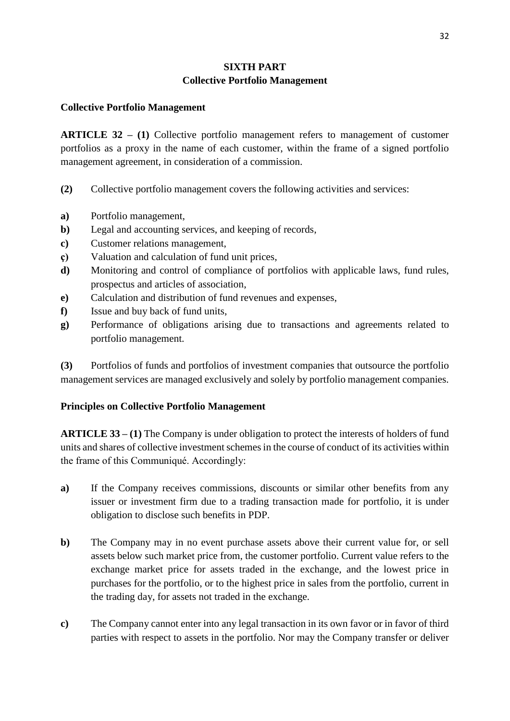# **SIXTH PART Collective Portfolio Management**

#### **Collective Portfolio Management**

**ARTICLE 32 – (1)** Collective portfolio management refers to management of customer portfolios as a proxy in the name of each customer, within the frame of a signed portfolio management agreement, in consideration of a commission.

- **(2)** Collective portfolio management covers the following activities and services:
- **a)** Portfolio management,
- **b)** Legal and accounting services, and keeping of records,
- **c)** Customer relations management,
- **ç)** Valuation and calculation of fund unit prices,
- **d)** Monitoring and control of compliance of portfolios with applicable laws, fund rules, prospectus and articles of association,
- **e)** Calculation and distribution of fund revenues and expenses,
- **f)** Issue and buy back of fund units,
- **g)** Performance of obligations arising due to transactions and agreements related to portfolio management.

**(3)** Portfolios of funds and portfolios of investment companies that outsource the portfolio management services are managed exclusively and solely by portfolio management companies.

## **Principles on Collective Portfolio Management**

**ARTICLE 33 – (1)** The Company is under obligation to protect the interests of holders of fund units and shares of collective investment schemes in the course of conduct of its activities within the frame of this Communiqué. Accordingly:

- **a)** If the Company receives commissions, discounts or similar other benefits from any issuer or investment firm due to a trading transaction made for portfolio, it is under obligation to disclose such benefits in PDP.
- **b**) The Company may in no event purchase assets above their current value for, or sell assets below such market price from, the customer portfolio. Current value refers to the exchange market price for assets traded in the exchange, and the lowest price in purchases for the portfolio, or to the highest price in sales from the portfolio, current in the trading day, for assets not traded in the exchange.
- **c)** The Company cannot enter into any legal transaction in its own favor or in favor of third parties with respect to assets in the portfolio. Nor may the Company transfer or deliver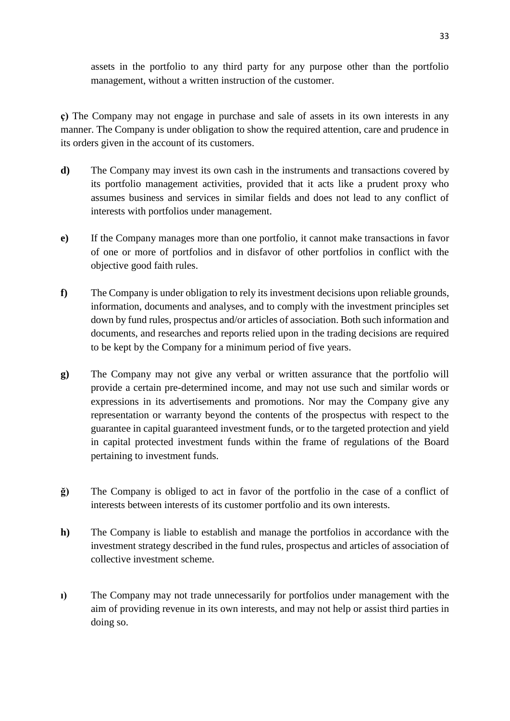assets in the portfolio to any third party for any purpose other than the portfolio management, without a written instruction of the customer.

**ç)** The Company may not engage in purchase and sale of assets in its own interests in any manner. The Company is under obligation to show the required attention, care and prudence in its orders given in the account of its customers.

- **d)** The Company may invest its own cash in the instruments and transactions covered by its portfolio management activities, provided that it acts like a prudent proxy who assumes business and services in similar fields and does not lead to any conflict of interests with portfolios under management.
- **e)** If the Company manages more than one portfolio, it cannot make transactions in favor of one or more of portfolios and in disfavor of other portfolios in conflict with the objective good faith rules.
- **f)** The Company is under obligation to rely its investment decisions upon reliable grounds, information, documents and analyses, and to comply with the investment principles set down by fund rules, prospectus and/or articles of association. Both such information and documents, and researches and reports relied upon in the trading decisions are required to be kept by the Company for a minimum period of five years.
- **g)** The Company may not give any verbal or written assurance that the portfolio will provide a certain pre-determined income, and may not use such and similar words or expressions in its advertisements and promotions. Nor may the Company give any representation or warranty beyond the contents of the prospectus with respect to the guarantee in capital guaranteed investment funds, or to the targeted protection and yield in capital protected investment funds within the frame of regulations of the Board pertaining to investment funds.
- **ğ)** The Company is obliged to act in favor of the portfolio in the case of a conflict of interests between interests of its customer portfolio and its own interests.
- **h)** The Company is liable to establish and manage the portfolios in accordance with the investment strategy described in the fund rules, prospectus and articles of association of collective investment scheme.
- **ı)** The Company may not trade unnecessarily for portfolios under management with the aim of providing revenue in its own interests, and may not help or assist third parties in doing so.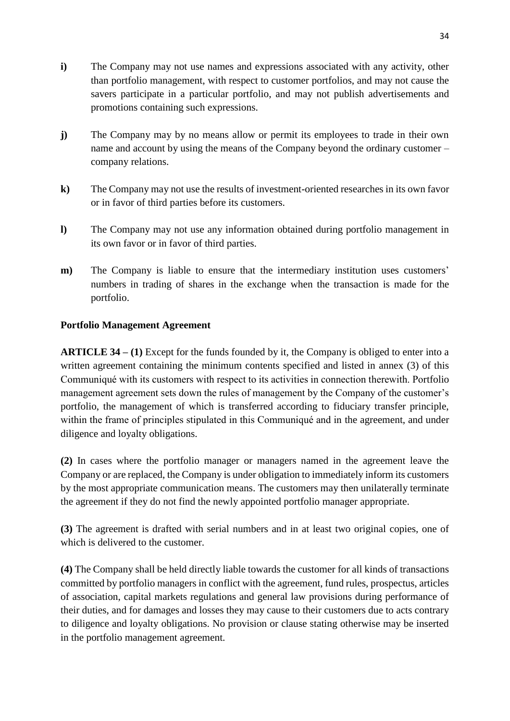- **i)** The Company may not use names and expressions associated with any activity, other than portfolio management, with respect to customer portfolios, and may not cause the savers participate in a particular portfolio, and may not publish advertisements and promotions containing such expressions.
- **j)** The Company may by no means allow or permit its employees to trade in their own name and account by using the means of the Company beyond the ordinary customer – company relations.
- **k)** The Company may not use the results of investment-oriented researches in its own favor or in favor of third parties before its customers.
- **l)** The Company may not use any information obtained during portfolio management in its own favor or in favor of third parties.
- **m**) The Company is liable to ensure that the intermediary institution uses customers' numbers in trading of shares in the exchange when the transaction is made for the portfolio.

## **Portfolio Management Agreement**

**ARTICLE 34 – (1)** Except for the funds founded by it, the Company is obliged to enter into a written agreement containing the minimum contents specified and listed in annex (3) of this Communiqué with its customers with respect to its activities in connection therewith. Portfolio management agreement sets down the rules of management by the Company of the customer's portfolio, the management of which is transferred according to fiduciary transfer principle, within the frame of principles stipulated in this Communiqué and in the agreement, and under diligence and loyalty obligations.

**(2)** In cases where the portfolio manager or managers named in the agreement leave the Company or are replaced, the Company is under obligation to immediately inform its customers by the most appropriate communication means. The customers may then unilaterally terminate the agreement if they do not find the newly appointed portfolio manager appropriate.

**(3)** The agreement is drafted with serial numbers and in at least two original copies, one of which is delivered to the customer.

**(4)** The Company shall be held directly liable towards the customer for all kinds of transactions committed by portfolio managers in conflict with the agreement, fund rules, prospectus, articles of association, capital markets regulations and general law provisions during performance of their duties, and for damages and losses they may cause to their customers due to acts contrary to diligence and loyalty obligations. No provision or clause stating otherwise may be inserted in the portfolio management agreement.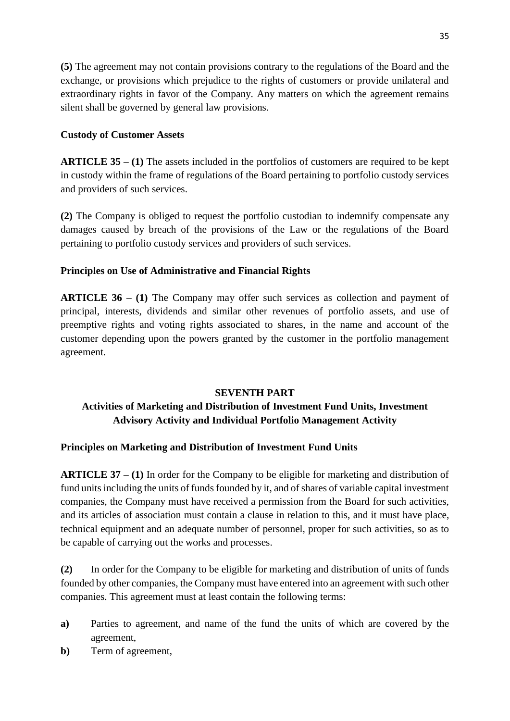**(5)** The agreement may not contain provisions contrary to the regulations of the Board and the exchange, or provisions which prejudice to the rights of customers or provide unilateral and extraordinary rights in favor of the Company. Any matters on which the agreement remains silent shall be governed by general law provisions.

## **Custody of Customer Assets**

**ARTICLE 35 – (1)** The assets included in the portfolios of customers are required to be kept in custody within the frame of regulations of the Board pertaining to portfolio custody services and providers of such services.

**(2)** The Company is obliged to request the portfolio custodian to indemnify compensate any damages caused by breach of the provisions of the Law or the regulations of the Board pertaining to portfolio custody services and providers of such services.

## **Principles on Use of Administrative and Financial Rights**

**ARTICLE 36 – (1)** The Company may offer such services as collection and payment of principal, interests, dividends and similar other revenues of portfolio assets, and use of preemptive rights and voting rights associated to shares, in the name and account of the customer depending upon the powers granted by the customer in the portfolio management agreement.

## **SEVENTH PART**

# **Activities of Marketing and Distribution of Investment Fund Units, Investment Advisory Activity and Individual Portfolio Management Activity**

# **Principles on Marketing and Distribution of Investment Fund Units**

**ARTICLE 37 – (1)** In order for the Company to be eligible for marketing and distribution of fund units including the units of funds founded by it, and of shares of variable capital investment companies, the Company must have received a permission from the Board for such activities, and its articles of association must contain a clause in relation to this, and it must have place, technical equipment and an adequate number of personnel, proper for such activities, so as to be capable of carrying out the works and processes.

**(2)** In order for the Company to be eligible for marketing and distribution of units of funds founded by other companies, the Company must have entered into an agreement with such other companies. This agreement must at least contain the following terms:

- **a)** Parties to agreement, and name of the fund the units of which are covered by the agreement,
- **b)** Term of agreement,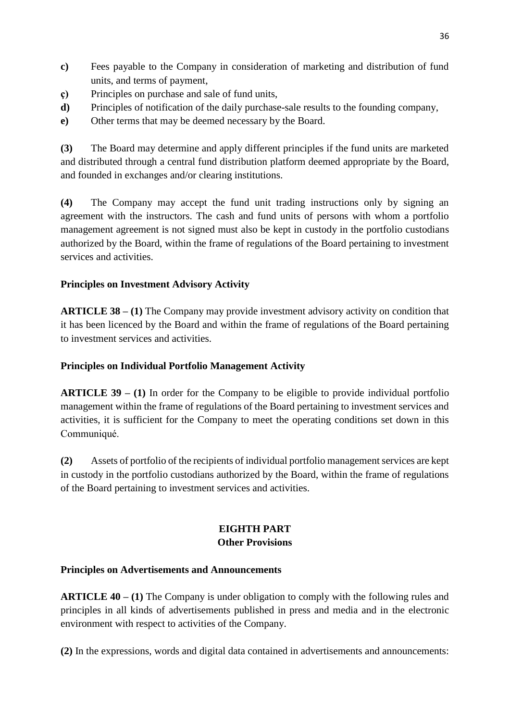- **c)** Fees payable to the Company in consideration of marketing and distribution of fund units, and terms of payment,
- **ç)** Principles on purchase and sale of fund units,
- **d)** Principles of notification of the daily purchase-sale results to the founding company,
- **e)** Other terms that may be deemed necessary by the Board.

**(3)** The Board may determine and apply different principles if the fund units are marketed and distributed through a central fund distribution platform deemed appropriate by the Board, and founded in exchanges and/or clearing institutions.

**(4)** The Company may accept the fund unit trading instructions only by signing an agreement with the instructors. The cash and fund units of persons with whom a portfolio management agreement is not signed must also be kept in custody in the portfolio custodians authorized by the Board, within the frame of regulations of the Board pertaining to investment services and activities.

# **Principles on Investment Advisory Activity**

**ARTICLE 38 – (1)** The Company may provide investment advisory activity on condition that it has been licenced by the Board and within the frame of regulations of the Board pertaining to investment services and activities.

# **Principles on Individual Portfolio Management Activity**

**ARTICLE 39 – (1)** In order for the Company to be eligible to provide individual portfolio management within the frame of regulations of the Board pertaining to investment services and activities, it is sufficient for the Company to meet the operating conditions set down in this Communiqué.

**(2)** Assets of portfolio of the recipients of individual portfolio management services are kept in custody in the portfolio custodians authorized by the Board, within the frame of regulations of the Board pertaining to investment services and activities.

## **EIGHTH PART Other Provisions**

# **Principles on Advertisements and Announcements**

**ARTICLE 40 – (1)** The Company is under obligation to comply with the following rules and principles in all kinds of advertisements published in press and media and in the electronic environment with respect to activities of the Company.

**(2)** In the expressions, words and digital data contained in advertisements and announcements: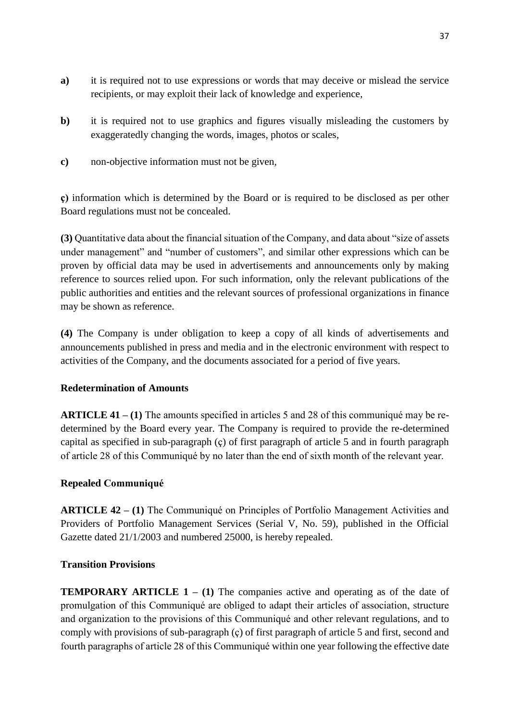- **a)** it is required not to use expressions or words that may deceive or mislead the service recipients, or may exploit their lack of knowledge and experience,
- **b**) it is required not to use graphics and figures visually misleading the customers by exaggeratedly changing the words, images, photos or scales,
- **c)** non-objective information must not be given,

**ç)** information which is determined by the Board or is required to be disclosed as per other Board regulations must not be concealed.

**(3)** Quantitative data about the financial situation of the Company, and data about "size of assets under management" and "number of customers", and similar other expressions which can be proven by official data may be used in advertisements and announcements only by making reference to sources relied upon. For such information, only the relevant publications of the public authorities and entities and the relevant sources of professional organizations in finance may be shown as reference.

**(4)** The Company is under obligation to keep a copy of all kinds of advertisements and announcements published in press and media and in the electronic environment with respect to activities of the Company, and the documents associated for a period of five years.

## **Redetermination of Amounts**

**ARTICLE 41 – (1)** The amounts specified in articles 5 and 28 of this communiqué may be redetermined by the Board every year. The Company is required to provide the re-determined capital as specified in sub-paragraph (ç) of first paragraph of article 5 and in fourth paragraph of article 28 of this Communiqué by no later than the end of sixth month of the relevant year.

#### **Repealed Communiqué**

**ARTICLE 42 – (1)** The Communiqué on Principles of Portfolio Management Activities and Providers of Portfolio Management Services (Serial V, No. 59), published in the Official Gazette dated 21/1/2003 and numbered 25000, is hereby repealed.

#### **Transition Provisions**

**TEMPORARY ARTICLE 1 – (1) The companies active and operating as of the date of** promulgation of this Communiqué are obliged to adapt their articles of association, structure and organization to the provisions of this Communiqué and other relevant regulations, and to comply with provisions of sub-paragraph (ç) of first paragraph of article 5 and first, second and fourth paragraphs of article 28 of this Communiqué within one year following the effective date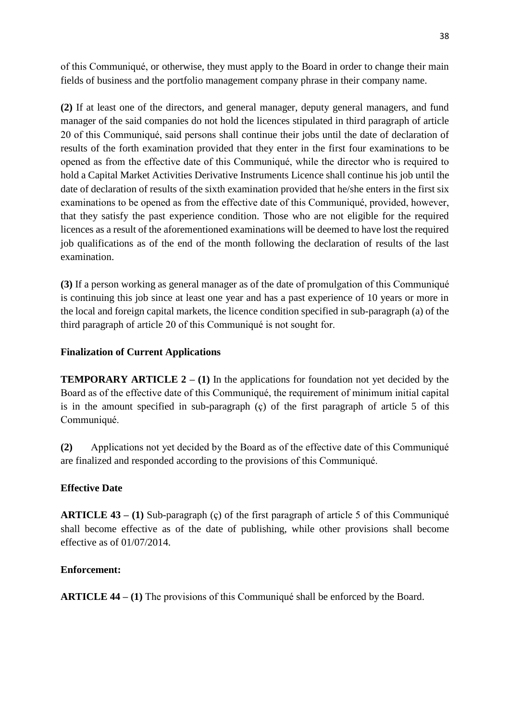of this Communiqué, or otherwise, they must apply to the Board in order to change their main fields of business and the portfolio management company phrase in their company name.

**(2)** If at least one of the directors, and general manager, deputy general managers, and fund manager of the said companies do not hold the licences stipulated in third paragraph of article 20 of this Communiqué, said persons shall continue their jobs until the date of declaration of results of the forth examination provided that they enter in the first four examinations to be opened as from the effective date of this Communiqué, while the director who is required to hold a Capital Market Activities Derivative Instruments Licence shall continue his job until the date of declaration of results of the sixth examination provided that he/she enters in the first six examinations to be opened as from the effective date of this Communiqué, provided, however, that they satisfy the past experience condition. Those who are not eligible for the required licences as a result of the aforementioned examinations will be deemed to have lost the required job qualifications as of the end of the month following the declaration of results of the last examination.

**(3)** If a person working as general manager as of the date of promulgation of this Communiqué is continuing this job since at least one year and has a past experience of 10 years or more in the local and foreign capital markets, the licence condition specified in sub-paragraph (a) of the third paragraph of article 20 of this Communiqué is not sought for.

## **Finalization of Current Applications**

**TEMPORARY ARTICLE**  $2 - (1)$  **In the applications for foundation not yet decided by the** Board as of the effective date of this Communiqué, the requirement of minimum initial capital is in the amount specified in sub-paragraph (ç) of the first paragraph of article 5 of this Communiqué.

**(2)** Applications not yet decided by the Board as of the effective date of this Communiqué are finalized and responded according to the provisions of this Communiqué.

## **Effective Date**

**ARTICLE 43 – (1)** Sub-paragraph (ç) of the first paragraph of article 5 of this Communiqué shall become effective as of the date of publishing, while other provisions shall become effective as of 01/07/2014.

## **Enforcement:**

**ARTICLE 44 – (1)** The provisions of this Communiqué shall be enforced by the Board.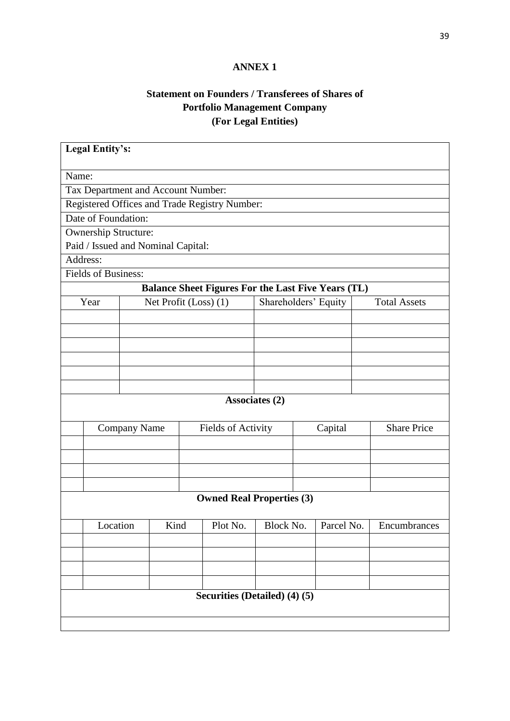# **ANNEX 1**

# **Statement on Founders / Transferees of Shares of Portfolio Management Company (For Legal Entities)**

| <b>Legal Entity's:</b>                        |                  |                       |                    |                                                           |           |         |                    |                     |  |  |
|-----------------------------------------------|------------------|-----------------------|--------------------|-----------------------------------------------------------|-----------|---------|--------------------|---------------------|--|--|
| Name:                                         |                  |                       |                    |                                                           |           |         |                    |                     |  |  |
| Tax Department and Account Number:            |                  |                       |                    |                                                           |           |         |                    |                     |  |  |
| Registered Offices and Trade Registry Number: |                  |                       |                    |                                                           |           |         |                    |                     |  |  |
| Date of Foundation:                           |                  |                       |                    |                                                           |           |         |                    |                     |  |  |
| <b>Ownership Structure:</b>                   |                  |                       |                    |                                                           |           |         |                    |                     |  |  |
| Paid / Issued and Nominal Capital:            |                  |                       |                    |                                                           |           |         |                    |                     |  |  |
| Address:                                      |                  |                       |                    |                                                           |           |         |                    |                     |  |  |
| <b>Fields of Business:</b>                    |                  |                       |                    |                                                           |           |         |                    |                     |  |  |
|                                               |                  |                       |                    | <b>Balance Sheet Figures For the Last Five Years (TL)</b> |           |         |                    |                     |  |  |
| Year                                          |                  | Net Profit (Loss) (1) |                    | Shareholders' Equity                                      |           |         |                    | <b>Total Assets</b> |  |  |
|                                               |                  |                       |                    |                                                           |           |         |                    |                     |  |  |
|                                               |                  |                       |                    |                                                           |           |         |                    |                     |  |  |
|                                               |                  |                       |                    |                                                           |           |         |                    |                     |  |  |
|                                               |                  |                       |                    |                                                           |           |         |                    |                     |  |  |
|                                               |                  |                       |                    |                                                           |           |         |                    |                     |  |  |
|                                               |                  |                       |                    |                                                           |           |         |                    |                     |  |  |
| Associates (2)                                |                  |                       |                    |                                                           |           |         |                    |                     |  |  |
|                                               | Company Name     |                       | Fields of Activity |                                                           |           | Capital | <b>Share Price</b> |                     |  |  |
|                                               |                  |                       |                    |                                                           |           |         |                    |                     |  |  |
|                                               |                  |                       |                    |                                                           |           |         |                    |                     |  |  |
|                                               |                  |                       |                    |                                                           |           |         |                    |                     |  |  |
|                                               |                  |                       |                    |                                                           |           |         |                    |                     |  |  |
| <b>Owned Real Properties (3)</b>              |                  |                       |                    |                                                           |           |         |                    |                     |  |  |
|                                               | Kind<br>Location |                       | Plot No.           |                                                           | Block No. |         | Parcel No.         | Encumbrances        |  |  |
|                                               |                  |                       |                    |                                                           |           |         |                    |                     |  |  |
|                                               |                  |                       |                    |                                                           |           |         |                    |                     |  |  |
|                                               |                  |                       |                    |                                                           |           |         |                    |                     |  |  |
|                                               |                  |                       |                    |                                                           |           |         |                    |                     |  |  |
|                                               |                  |                       |                    | Securities (Detailed) (4) (5)                             |           |         |                    |                     |  |  |
|                                               |                  |                       |                    |                                                           |           |         |                    |                     |  |  |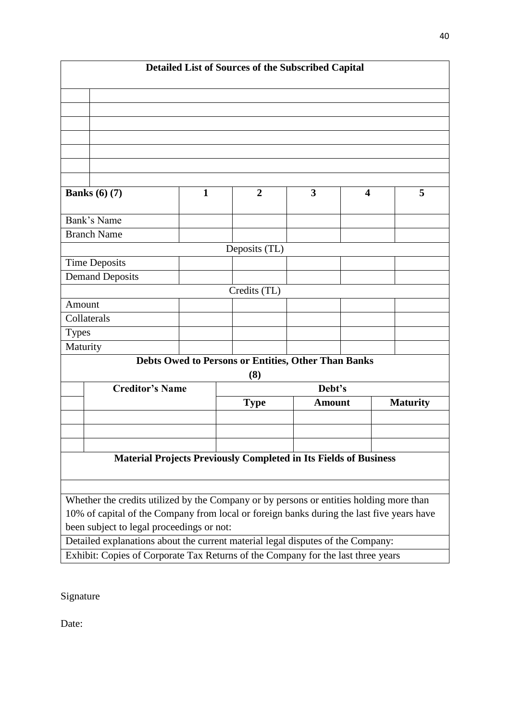| Detailed List of Sources of the Subscribed Capital                                                                                     |                                                                                         |              |             |                |               |   |                 |   |  |  |  |
|----------------------------------------------------------------------------------------------------------------------------------------|-----------------------------------------------------------------------------------------|--------------|-------------|----------------|---------------|---|-----------------|---|--|--|--|
|                                                                                                                                        |                                                                                         |              |             |                |               |   |                 |   |  |  |  |
|                                                                                                                                        |                                                                                         |              |             |                |               |   |                 |   |  |  |  |
|                                                                                                                                        |                                                                                         |              |             |                |               |   |                 |   |  |  |  |
|                                                                                                                                        |                                                                                         |              |             |                |               |   |                 |   |  |  |  |
|                                                                                                                                        |                                                                                         |              |             |                |               |   |                 |   |  |  |  |
|                                                                                                                                        |                                                                                         |              |             |                |               |   |                 |   |  |  |  |
|                                                                                                                                        |                                                                                         |              |             |                |               |   |                 |   |  |  |  |
| Banks $(6)$ $(7)$                                                                                                                      |                                                                                         | $\mathbf{1}$ |             | $\overline{2}$ | 3             | 4 |                 | 5 |  |  |  |
|                                                                                                                                        | Bank's Name                                                                             |              |             |                |               |   |                 |   |  |  |  |
|                                                                                                                                        | <b>Branch Name</b>                                                                      |              |             |                |               |   |                 |   |  |  |  |
| Deposits (TL)                                                                                                                          |                                                                                         |              |             |                |               |   |                 |   |  |  |  |
|                                                                                                                                        | <b>Time Deposits</b>                                                                    |              |             |                |               |   |                 |   |  |  |  |
|                                                                                                                                        | <b>Demand Deposits</b>                                                                  |              |             |                |               |   |                 |   |  |  |  |
| Credits (TL)                                                                                                                           |                                                                                         |              |             |                |               |   |                 |   |  |  |  |
| Amount                                                                                                                                 |                                                                                         |              |             |                |               |   |                 |   |  |  |  |
| Collaterals                                                                                                                            |                                                                                         |              |             |                |               |   |                 |   |  |  |  |
| <b>Types</b>                                                                                                                           |                                                                                         |              |             |                |               |   |                 |   |  |  |  |
| Maturity                                                                                                                               |                                                                                         |              |             |                |               |   |                 |   |  |  |  |
| <b>Debts Owed to Persons or Entities, Other Than Banks</b><br>(8)                                                                      |                                                                                         |              |             |                |               |   |                 |   |  |  |  |
|                                                                                                                                        | <b>Creditor's Name</b>                                                                  |              |             | Debt's         |               |   |                 |   |  |  |  |
|                                                                                                                                        |                                                                                         |              | <b>Type</b> |                | <b>Amount</b> |   | <b>Maturity</b> |   |  |  |  |
|                                                                                                                                        |                                                                                         |              |             |                |               |   |                 |   |  |  |  |
|                                                                                                                                        |                                                                                         |              |             |                |               |   |                 |   |  |  |  |
|                                                                                                                                        |                                                                                         |              |             |                |               |   |                 |   |  |  |  |
| Material Projects Previously Completed in Its Fields of Business                                                                       |                                                                                         |              |             |                |               |   |                 |   |  |  |  |
|                                                                                                                                        |                                                                                         |              |             |                |               |   |                 |   |  |  |  |
|                                                                                                                                        | Whether the credits utilized by the Company or by persons or entities holding more than |              |             |                |               |   |                 |   |  |  |  |
| 10% of capital of the Company from local or foreign banks during the last five years have<br>been subject to legal proceedings or not: |                                                                                         |              |             |                |               |   |                 |   |  |  |  |
| Detailed explanations about the current material legal disputes of the Company:                                                        |                                                                                         |              |             |                |               |   |                 |   |  |  |  |
|                                                                                                                                        | Exhibit: Copies of Corporate Tax Returns of the Company for the last three years        |              |             |                |               |   |                 |   |  |  |  |
|                                                                                                                                        |                                                                                         |              |             |                |               |   |                 |   |  |  |  |

Signature

Date: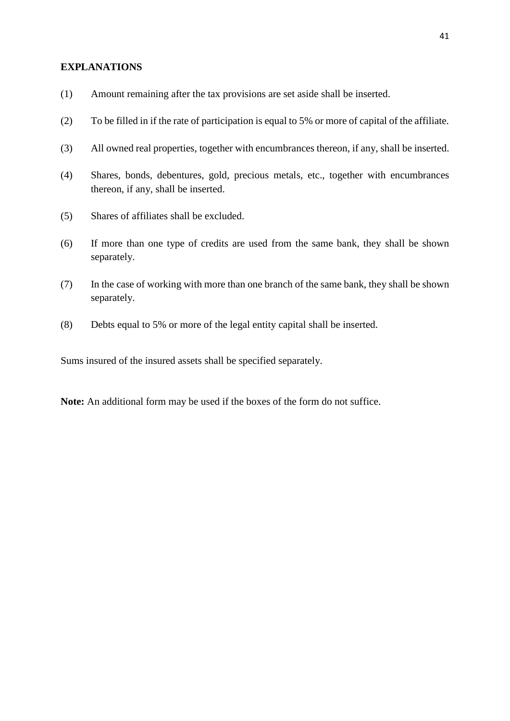#### **EXPLANATIONS**

- (1) Amount remaining after the tax provisions are set aside shall be inserted.
- (2) To be filled in if the rate of participation is equal to 5% or more of capital of the affiliate.
- (3) All owned real properties, together with encumbrances thereon, if any, shall be inserted.
- (4) Shares, bonds, debentures, gold, precious metals, etc., together with encumbrances thereon, if any, shall be inserted.
- (5) Shares of affiliates shall be excluded.
- (6) If more than one type of credits are used from the same bank, they shall be shown separately.
- (7) In the case of working with more than one branch of the same bank, they shall be shown separately.
- (8) Debts equal to 5% or more of the legal entity capital shall be inserted.

Sums insured of the insured assets shall be specified separately.

**Note:** An additional form may be used if the boxes of the form do not suffice.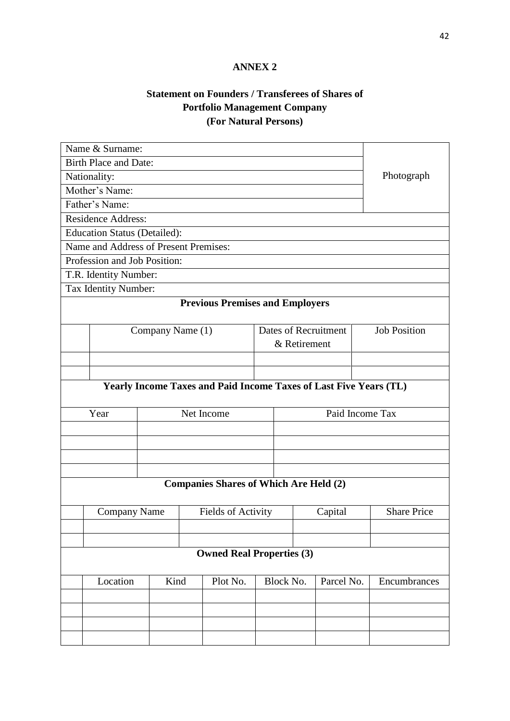# **ANNEX 2**

# **Statement on Founders / Transferees of Shares of Portfolio Management Company (For Natural Persons)**

| Name & Surname:                                                   |                                       |                  |          |                           |                      |  |              |                     |  |  |  |
|-------------------------------------------------------------------|---------------------------------------|------------------|----------|---------------------------|----------------------|--|--------------|---------------------|--|--|--|
|                                                                   | <b>Birth Place and Date:</b>          |                  |          |                           |                      |  |              |                     |  |  |  |
|                                                                   | Nationality:                          | Photograph       |          |                           |                      |  |              |                     |  |  |  |
| Mother's Name:                                                    |                                       |                  |          |                           |                      |  |              |                     |  |  |  |
|                                                                   | Father's Name:                        |                  |          |                           |                      |  |              |                     |  |  |  |
|                                                                   | <b>Residence Address:</b>             |                  |          |                           |                      |  |              |                     |  |  |  |
| <b>Education Status (Detailed):</b>                               |                                       |                  |          |                           |                      |  |              |                     |  |  |  |
| Name and Address of Present Premises:                             |                                       |                  |          |                           |                      |  |              |                     |  |  |  |
| Profession and Job Position:                                      |                                       |                  |          |                           |                      |  |              |                     |  |  |  |
| T.R. Identity Number:                                             |                                       |                  |          |                           |                      |  |              |                     |  |  |  |
|                                                                   | Tax Identity Number:                  |                  |          |                           |                      |  |              |                     |  |  |  |
| <b>Previous Premises and Employers</b>                            |                                       |                  |          |                           |                      |  |              |                     |  |  |  |
|                                                                   |                                       | Company Name (1) |          |                           | Dates of Recruitment |  |              | <b>Job Position</b> |  |  |  |
|                                                                   |                                       |                  |          |                           |                      |  | & Retirement |                     |  |  |  |
|                                                                   |                                       |                  |          |                           |                      |  |              |                     |  |  |  |
|                                                                   |                                       |                  |          |                           |                      |  |              |                     |  |  |  |
| Yearly Income Taxes and Paid Income Taxes of Last Five Years (TL) |                                       |                  |          |                           |                      |  |              |                     |  |  |  |
|                                                                   | Net Income<br>Paid Income Tax<br>Year |                  |          |                           |                      |  |              |                     |  |  |  |
|                                                                   |                                       |                  |          |                           |                      |  |              |                     |  |  |  |
|                                                                   |                                       |                  |          |                           |                      |  |              |                     |  |  |  |
|                                                                   |                                       |                  |          |                           |                      |  |              |                     |  |  |  |
|                                                                   |                                       |                  |          |                           |                      |  |              |                     |  |  |  |
| <b>Companies Shares of Which Are Held (2)</b>                     |                                       |                  |          |                           |                      |  |              |                     |  |  |  |
|                                                                   | <b>Company Name</b>                   |                  |          | <b>Fields of Activity</b> |                      |  | Capital      | <b>Share Price</b>  |  |  |  |
|                                                                   |                                       |                  |          |                           |                      |  |              |                     |  |  |  |
|                                                                   |                                       |                  |          |                           |                      |  |              |                     |  |  |  |
| <b>Owned Real Properties (3)</b>                                  |                                       |                  |          |                           |                      |  |              |                     |  |  |  |
|                                                                   | Location                              | Kind             | Plot No. |                           | <b>Block No.</b>     |  | Parcel No.   | Encumbrances        |  |  |  |
|                                                                   |                                       |                  |          |                           |                      |  |              |                     |  |  |  |
|                                                                   |                                       |                  |          |                           |                      |  |              |                     |  |  |  |
|                                                                   |                                       |                  |          |                           |                      |  |              |                     |  |  |  |
|                                                                   |                                       |                  |          |                           |                      |  |              |                     |  |  |  |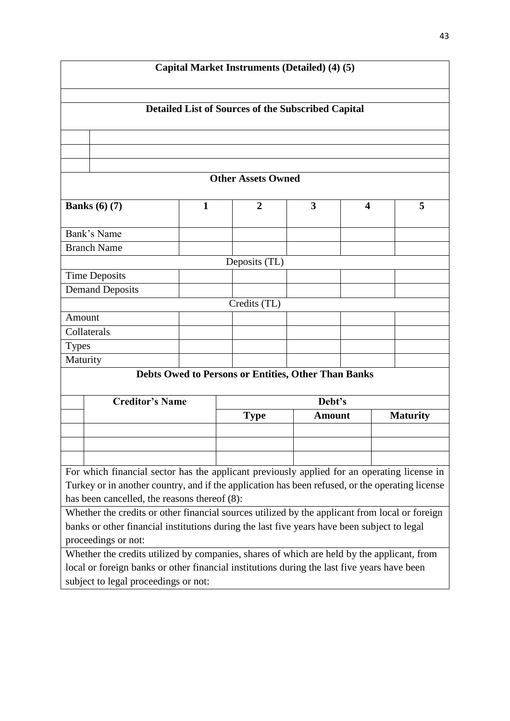| Capital Market Instruments (Detailed) (4) (5)                                                                                                                                                                        |                                                                                             |  |                |              |                                                    |               |   |                 |  |  |  |
|----------------------------------------------------------------------------------------------------------------------------------------------------------------------------------------------------------------------|---------------------------------------------------------------------------------------------|--|----------------|--------------|----------------------------------------------------|---------------|---|-----------------|--|--|--|
| <b>Detailed List of Sources of the Subscribed Capital</b>                                                                                                                                                            |                                                                                             |  |                |              |                                                    |               |   |                 |  |  |  |
|                                                                                                                                                                                                                      |                                                                                             |  |                |              |                                                    |               |   |                 |  |  |  |
|                                                                                                                                                                                                                      |                                                                                             |  |                |              |                                                    |               |   |                 |  |  |  |
| <b>Other Assets Owned</b>                                                                                                                                                                                            |                                                                                             |  |                |              |                                                    |               |   |                 |  |  |  |
| Banks $(6)$ $(7)$<br>$\mathbf{1}$                                                                                                                                                                                    |                                                                                             |  | $\overline{2}$ |              | $\overline{\mathbf{3}}$<br>$\overline{\mathbf{4}}$ |               | 5 |                 |  |  |  |
|                                                                                                                                                                                                                      | Bank's Name                                                                                 |  |                |              |                                                    |               |   |                 |  |  |  |
|                                                                                                                                                                                                                      | <b>Branch Name</b>                                                                          |  |                |              |                                                    |               |   |                 |  |  |  |
| Deposits (TL)                                                                                                                                                                                                        |                                                                                             |  |                |              |                                                    |               |   |                 |  |  |  |
|                                                                                                                                                                                                                      | <b>Time Deposits</b>                                                                        |  |                |              |                                                    |               |   |                 |  |  |  |
|                                                                                                                                                                                                                      | <b>Demand Deposits</b>                                                                      |  |                |              |                                                    |               |   |                 |  |  |  |
|                                                                                                                                                                                                                      |                                                                                             |  |                | Credits (TL) |                                                    |               |   |                 |  |  |  |
| Amount                                                                                                                                                                                                               |                                                                                             |  |                |              |                                                    |               |   |                 |  |  |  |
|                                                                                                                                                                                                                      | Collaterals                                                                                 |  |                |              |                                                    |               |   |                 |  |  |  |
| <b>Types</b>                                                                                                                                                                                                         |                                                                                             |  |                |              |                                                    |               |   |                 |  |  |  |
| Maturity<br>Debts Owed to Persons or Entities, Other Than Banks                                                                                                                                                      |                                                                                             |  |                |              |                                                    |               |   |                 |  |  |  |
|                                                                                                                                                                                                                      |                                                                                             |  |                |              |                                                    |               |   |                 |  |  |  |
|                                                                                                                                                                                                                      | <b>Creditor's Name</b>                                                                      |  |                |              | Debt's                                             |               |   |                 |  |  |  |
|                                                                                                                                                                                                                      |                                                                                             |  | <b>Type</b>    |              |                                                    | <b>Amount</b> |   | <b>Maturity</b> |  |  |  |
|                                                                                                                                                                                                                      |                                                                                             |  |                |              |                                                    |               |   |                 |  |  |  |
|                                                                                                                                                                                                                      |                                                                                             |  |                |              |                                                    |               |   |                 |  |  |  |
|                                                                                                                                                                                                                      |                                                                                             |  |                |              |                                                    |               |   |                 |  |  |  |
| For which financial sector has the applicant previously applied for an operating license in                                                                                                                          |                                                                                             |  |                |              |                                                    |               |   |                 |  |  |  |
| Turkey or in another country, and if the application has been refused, or the operating license                                                                                                                      |                                                                                             |  |                |              |                                                    |               |   |                 |  |  |  |
| has been cancelled, the reasons thereof (8):                                                                                                                                                                         |                                                                                             |  |                |              |                                                    |               |   |                 |  |  |  |
| Whether the credits or other financial sources utilized by the applicant from local or foreign<br>banks or other financial institutions during the last five years have been subject to legal<br>proceedings or not: |                                                                                             |  |                |              |                                                    |               |   |                 |  |  |  |
| Whether the credits utilized by companies, shares of which are held by the applicant, from                                                                                                                           |                                                                                             |  |                |              |                                                    |               |   |                 |  |  |  |
|                                                                                                                                                                                                                      | local or foreign banks or other financial institutions during the last five years have been |  |                |              |                                                    |               |   |                 |  |  |  |
| subject to legal proceedings or not:                                                                                                                                                                                 |                                                                                             |  |                |              |                                                    |               |   |                 |  |  |  |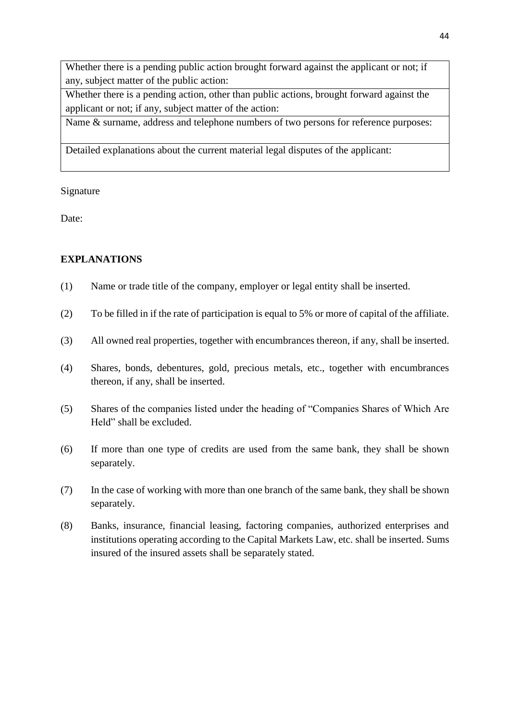Whether there is a pending public action brought forward against the applicant or not; if any, subject matter of the public action:

Whether there is a pending action, other than public actions, brought forward against the applicant or not; if any, subject matter of the action:

Name & surname, address and telephone numbers of two persons for reference purposes:

Detailed explanations about the current material legal disputes of the applicant:

Signature

Date:

## **EXPLANATIONS**

- (1) Name or trade title of the company, employer or legal entity shall be inserted.
- (2) To be filled in if the rate of participation is equal to 5% or more of capital of the affiliate.
- (3) All owned real properties, together with encumbrances thereon, if any, shall be inserted.
- (4) Shares, bonds, debentures, gold, precious metals, etc., together with encumbrances thereon, if any, shall be inserted.
- (5) Shares of the companies listed under the heading of "Companies Shares of Which Are Held" shall be excluded.
- (6) If more than one type of credits are used from the same bank, they shall be shown separately.
- (7) In the case of working with more than one branch of the same bank, they shall be shown separately.
- (8) Banks, insurance, financial leasing, factoring companies, authorized enterprises and institutions operating according to the Capital Markets Law, etc. shall be inserted. Sums insured of the insured assets shall be separately stated.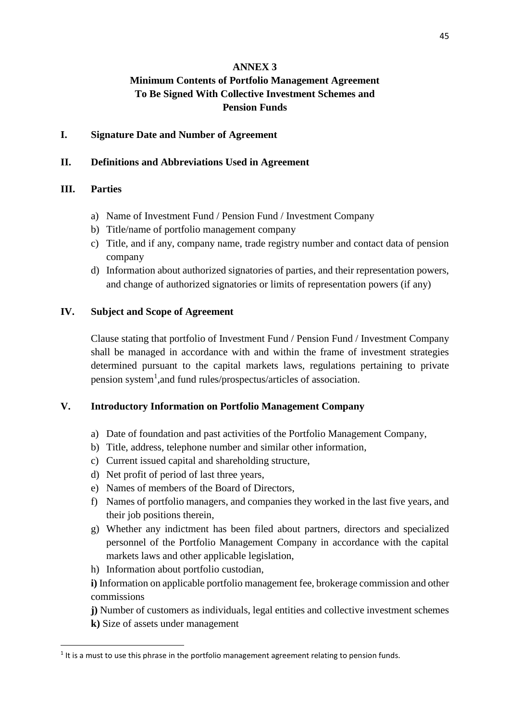#### **ANNEX 3**

# **Minimum Contents of Portfolio Management Agreement To Be Signed With Collective Investment Schemes and Pension Funds**

#### **I. Signature Date and Number of Agreement**

#### **II. Definitions and Abbreviations Used in Agreement**

#### **III. Parties**

- a) Name of Investment Fund / Pension Fund / Investment Company
- b) Title/name of portfolio management company
- c) Title, and if any, company name, trade registry number and contact data of pension company
- d) Information about authorized signatories of parties, and their representation powers, and change of authorized signatories or limits of representation powers (if any)

#### **IV. Subject and Scope of Agreement**

Clause stating that portfolio of Investment Fund / Pension Fund / Investment Company shall be managed in accordance with and within the frame of investment strategies determined pursuant to the capital markets laws, regulations pertaining to private pension system<sup>1</sup>, and fund rules/prospectus/articles of association.

## **V. Introductory Information on Portfolio Management Company**

- a) Date of foundation and past activities of the Portfolio Management Company,
- b) Title, address, telephone number and similar other information,
- c) Current issued capital and shareholding structure,
- d) Net profit of period of last three years,
- e) Names of members of the Board of Directors,
- f) Names of portfolio managers, and companies they worked in the last five years, and their job positions therein,
- g) Whether any indictment has been filed about partners, directors and specialized personnel of the Portfolio Management Company in accordance with the capital markets laws and other applicable legislation,
- h) Information about portfolio custodian,

**i)** Information on applicable portfolio management fee, brokerage commission and other commissions

**j)** Number of customers as individuals, legal entities and collective investment schemes

**k)** Size of assets under management

**.** 

 $<sup>1</sup>$  It is a must to use this phrase in the portfolio management agreement relating to pension funds.</sup>